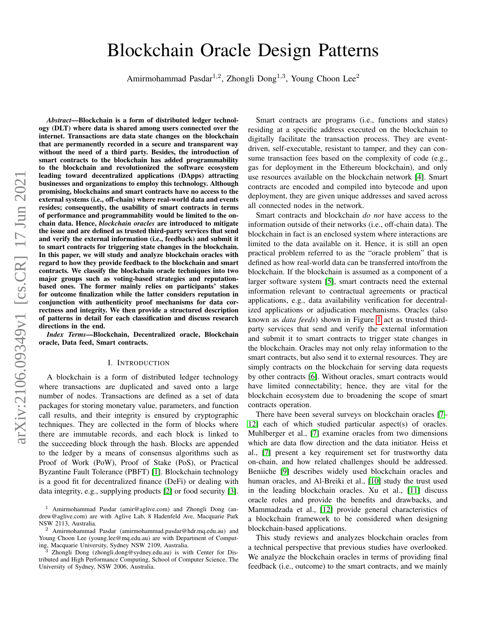# arXiv:2106.09349v1 [cs.CR] 17 Jun 2021 arXiv:2106.09349v1 [cs.CR] 17 Jun 2021

# Blockchain Oracle Design Patterns

Amirmohammad Pasdar<sup>1,2</sup>, Zhongli Dong<sup>1,3</sup>, Young Choon Lee<sup>2</sup>

*Abstract*—Blockchain is a form of distributed ledger technology (DLT) where data is shared among users connected over the internet. Transactions are data state changes on the blockchain that are permanently recorded in a secure and transparent way without the need of a third party. Besides, the introduction of smart contracts to the blockchain has added programmability to the blockchain and revolutionized the software ecosystem leading toward decentralized applications (DApps) attracting businesses and organizations to employ this technology. Although promising, blockchains and smart contracts have no access to the external systems (i.e., off-chain) where real-world data and events resides; consequently, the usability of smart contracts in terms of performance and programmability would be limited to the onchain data. Hence, *blockchain oracles* are introduced to mitigate the issue and are defined as trusted third-party services that send and verify the external information (i.e., feedback) and submit it to smart contracts for triggering state changes in the blockchain. In this paper, we will study and analyze blockchain oracles with regard to how they provide feedback to the blockchain and smart contracts. We classify the blockchain oracle techniques into two major groups such as voting-based strategies and reputationbased ones. The former mainly relies on participants' stakes for outcome finalization while the latter considers reputation in conjunction with authenticity proof mechanisms for data correctness and integrity. We then provide a structured description of patterns in detail for each classification and discuss research directions in the end.

*Index Terms*—Blockchain, Decentralized oracle, Blockchain oracle, Data feed, Smart contracts.

#### I. INTRODUCTION

A blockchain is a form of distributed ledger technology where transactions are duplicated and saved onto a large number of nodes. Transactions are defined as a set of data packages for storing monetary value, parameters, and function call results, and their integrity is ensured by cryptographic techniques. They are collected in the form of blocks where there are immutable records, and each block is linked to the succeeding block through the hash. Blocks are appended to the ledger by a means of consensus algorithms such as Proof of Work (PoW), Proof of Stake (PoS), or Practical Byzantine Fault Tolerance (PBFT) [\[1\]](#page-22-0). Blockchain technology is a good fit for decentralized finance (DeFi) or dealing with data integrity, e.g., supplying products [\[2\]](#page-22-1) or food security [\[3\]](#page-22-2).

Smart contracts are programs (i.e., functions and states) residing at a specific address executed on the blockchain to digitally facilitate the transaction process. They are eventdriven, self-executable, resistant to tamper, and they can consume transaction fees based on the complexity of code (e.g., gas for deployment in the Ethereum blockchain), and only use resources available on the blockchain network [\[4\]](#page-22-3). Smart contracts are encoded and compiled into bytecode and upon deployment, they are given unique addresses and saved across all connected nodes in the network.

Smart contracts and blockchain *do not* have access to the information outside of their networks (i.e., off-chain data). The blockchain in fact is an enclosed system where interactions are limited to the data available on it. Hence, it is still an open practical problem referred to as the "oracle problem" that is defined as how real-world data can be transferred into/from the blockchain. If the blockchain is assumed as a component of a larger software system [\[5\]](#page-22-4), smart contracts need the external information relevant to contractual agreements or practical applications, e.g., data availability verification for decentralized applications or adjudication mechanisms. Oracles (also known as *data feeds*) shown in Figure [1](#page-1-0) act as trusted thirdparty services that send and verify the external information and submit it to smart contracts to trigger state changes in the blockchain. Oracles may not only relay information to the smart contracts, but also send it to external resources. They are simply contracts on the blockchain for serving data requests by other contracts [\[6\]](#page-22-5). Without oracles, smart contracts would have limited connectability; hence, they are vital for the blockchain ecosystem due to broadening the scope of smart contracts operation.

There have been several surveys on blockchain oracles [\[7–](#page-22-6) [12\]](#page-22-7) each of which studied particular aspect(s) of oracles. Muhlberger et al., [\[7\]](#page-22-6) examine oracles from two dimensions which are data flow direction and the data initiator. Heiss et al., [\[7\]](#page-22-6) present a key requirement set for trustworthy data on-chain, and how related challenges should be addressed. Beniiche [\[9\]](#page-22-8) describes widely used blockchain oracles and human oracles, and Al-Breiki et al., [\[10\]](#page-22-9) study the trust used in the leading blockchain oracles. Xu et al., [\[11\]](#page-22-10) discuss oracle roles and provide the benefits and drawbacks, and Mammadzada et al., [\[12\]](#page-22-7) provide general characteristics of a blockchain framework to be considered when designing blockchain-based applications.

This study reviews and analyzes blockchain oracles from a technical perspective that previous studies have overlooked. We analyze the blockchain oracles in terms of providing final feedback (i.e., outcome) to the smart contracts, and we mainly

<sup>&</sup>lt;sup>1</sup> Amirmohammad Pasdar (amir@aglive.com) and Zhongli Dong (andrew@aglive.com) are with Aglive Lab, 8 Hadenfeld Ave, Macquarie Park NSW 2113, Australia.

<sup>2</sup> Amirmohammad Pasdar (amirmohammad.pasdar@hdr.mq.edu.au) and Young Choon Lee (young.lee@mq.edu.au) are with Department of Computing, Macquarie University, Sydney NSW 2109, Australia.<br>
<sup>3</sup> Zhongli Dore (characteristic)

Zhongli Dong (zhongli.dong@sydney.edu.au) is with Center for Distributed and High Performance Computing, School of Computer Science, The University of Sydney, NSW 2006, Australia.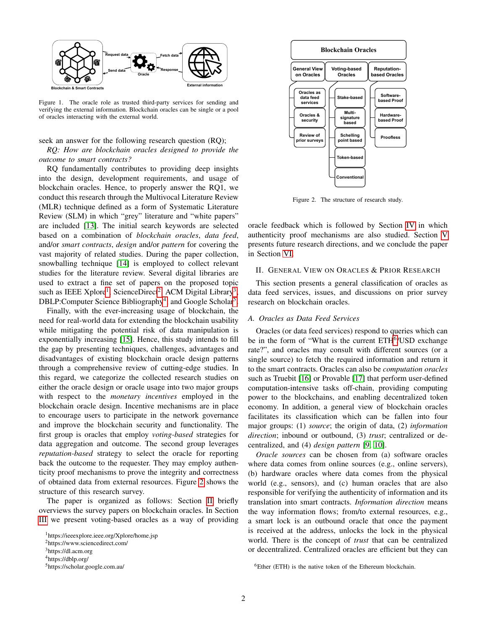

<span id="page-1-0"></span>Figure 1. The oracle role as trusted third-party services for sending and verifying the external information. Blockchain oracles can be single or a pool of oracles interacting with the external world.

seek an answer for the following research question (RQ);

*RQ: How are blockchain oracles designed to provide the outcome to smart contracts?*

RQ fundamentally contributes to providing deep insights into the design, development requirements, and usage of blockchain oracles. Hence, to properly answer the RQ1, we conduct this research through the Multivocal Literature Review (MLR) technique defined as a form of Systematic Literature Review (SLM) in which "grey" literature and "white papers" are included [\[13\]](#page-22-11). The initial search keywords are selected based on a combination of *blockchain oracles*, *data feed*, and/or *smart contracts*, *design* and/or *pattern* for covering the vast majority of related studies. During the paper collection, snowballing technique [\[14\]](#page-22-12) is employed to collect relevant studies for the literature review. Several digital libraries are used to extract a fine set of papers on the proposed topic such as IEEE Xplore<sup>[1](#page-1-1)</sup>, ScienceDirect<sup>[2](#page-1-2)</sup>, ACM Digital Library<sup>[3](#page-1-3)</sup>, DBLP:Computer Science Bibliography<sup>[4](#page-1-4)</sup>, and Google Scholar<sup>[5](#page-1-5)</sup>.

Finally, with the ever-increasing usage of blockchain, the need for real-world data for extending the blockchain usability while mitigating the potential risk of data manipulation is exponentially increasing [\[15\]](#page-22-13). Hence, this study intends to fill the gap by presenting techniques, challenges, advantages and disadvantages of existing blockchain oracle design patterns through a comprehensive review of cutting-edge studies. In this regard, we categorize the collected research studies on either the oracle design or oracle usage into two major groups with respect to the *monetary incentives* employed in the blockchain oracle design. Incentive mechanisms are in place to encourage users to participate in the network governance and improve the blockchain security and functionality. The first group is oracles that employ *voting-based* strategies for data aggregation and outcome. The second group leverages *reputation-based* strategy to select the oracle for reporting back the outcome to the requester. They may employ authenticity proof mechanisms to prove the integrity and correctness of obtained data from external resources. Figure [2](#page-1-6) shows the structure of this research survey.

The paper is organized as follows: Section [II](#page-1-7) briefly overviews the survey papers on blockchain oracles. In Section [III](#page-3-0) we present voting-based oracles as a way of providing



<span id="page-1-6"></span>Figure 2. The structure of research study.

oracle feedback which is followed by Section [IV](#page-12-0) in which authenticity proof mechanisms are also studied. Section [V](#page-20-0) presents future research directions, and we conclude the paper in Section [VI.](#page-21-0)

#### <span id="page-1-7"></span>II. GENERAL VIEW ON ORACLES & PRIOR RESEARCH

This section presents a general classification of oracles as data feed services, issues, and discussions on prior survey research on blockchain oracles.

#### *A. Oracles as Data Feed Services*

Oracles (or data feed services) respond to queries which can be in the form of "What is the current ETH<sup>[6](#page-1-8)</sup>/USD exchange rate?", and oracles may consult with different sources (or a single source) to fetch the required information and return it to the smart contracts. Oracles can also be *computation oracles* such as Truebit [\[16\]](#page-22-14) or Provable [\[17\]](#page-22-15) that perform user-defined computation-intensive tasks off-chain, providing computing power to the blockchains, and enabling decentralized token economy. In addition, a general view of blockchain oracles facilitates its classification which can be fallen into four major groups: (1) *source*; the origin of data, (2) *information direction*; inbound or outbound, (3) *trust*; centralized or decentralized, and (4) *design pattern* [\[9,](#page-22-8) [10\]](#page-22-9).

*Oracle sources* can be chosen from (a) software oracles where data comes from online sources (e.g., online servers), (b) hardware oracles where data comes from the physical world (e.g., sensors), and (c) human oracles that are also responsible for verifying the authenticity of information and its translation into smart contracts. *Information direction* means the way information flows; from/to external resources, e.g., a smart lock is an outbound oracle that once the payment is received at the address, unlocks the lock in the physical world. There is the concept of *trust* that can be centralized or decentralized. Centralized oracles are efficient but they can

<span id="page-1-1"></span><sup>1</sup>https://ieeexplore.ieee.org/Xplore/home.jsp

<span id="page-1-2"></span><sup>2</sup>https://www.sciencedirect.com/

<span id="page-1-3"></span><sup>3</sup>https://dl.acm.org

<span id="page-1-4"></span><sup>4</sup>https://dblp.org/

<span id="page-1-5"></span><sup>5</sup>https://scholar.google.com.au/

<span id="page-1-8"></span> $6$ Ether (ETH) is the native token of the Ethereum blockchain.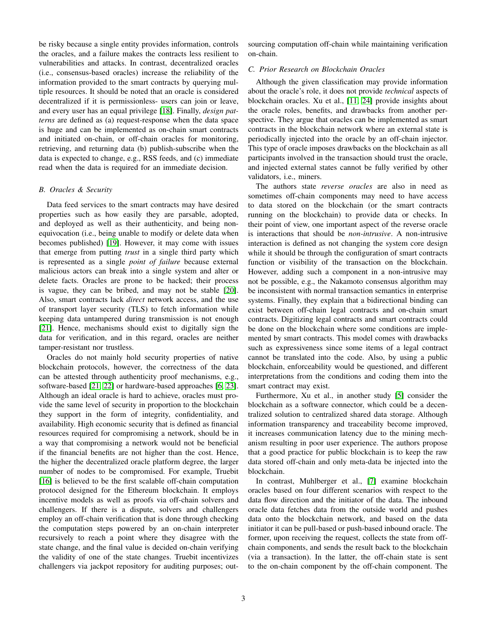be risky because a single entity provides information, controls the oracles, and a failure makes the contracts less resilient to vulnerabilities and attacks. In contrast, decentralized oracles (i.e., consensus-based oracles) increase the reliability of the information provided to the smart contracts by querying multiple resources. It should be noted that an oracle is considered decentralized if it is permissionless- users can join or leave, and every user has an equal privilege [\[18\]](#page-22-16). Finally, *design patterns* are defined as (a) request-response when the data space is huge and can be implemented as on-chain smart contracts and initiated on-chain, or off-chain oracles for monitoring, retrieving, and returning data (b) publish-subscribe when the data is expected to change, e.g., RSS feeds, and (c) immediate read when the data is required for an immediate decision.

#### *B. Oracles & Security*

Data feed services to the smart contracts may have desired properties such as how easily they are parsable, adopted, and deployed as well as their authenticity, and being nonequivocation (i.e., being unable to modify or delete data when becomes published) [\[19\]](#page-22-17). However, it may come with issues that emerge from putting *trust* in a single third party which is represented as a single *point of failure* because external malicious actors can break into a single system and alter or delete facts. Oracles are prone to be hacked; their process is vague, they can be bribed, and may not be stable [\[20\]](#page-22-18). Also, smart contracts lack *direct* network access, and the use of transport layer security (TLS) to fetch information while keeping data untampered during transmission is not enough [\[21\]](#page-22-19). Hence, mechanisms should exist to digitally sign the data for verification, and in this regard, oracles are neither tamper-resistant nor trustless.

Oracles do not mainly hold security properties of native blockchain protocols, however, the correctness of the data can be attested through authenticity proof mechanisms, e.g., software-based [\[21,](#page-22-19) [22\]](#page-22-20) or hardware-based approaches [\[6,](#page-22-5) [23\]](#page-22-21). Although an ideal oracle is hard to achieve, oracles must provide the same level of security in proportion to the blockchain they support in the form of integrity, confidentiality, and availability. High economic security that is defined as financial resources required for compromising a network, should be in a way that compromising a network would not be beneficial if the financial benefits are not higher than the cost. Hence, the higher the decentralized oracle platform degree, the larger number of nodes to be compromised. For example, Truebit [\[16\]](#page-22-14) is believed to be the first scalable off-chain computation protocol designed for the Ethereum blockchain. It employs incentive models as well as proofs via off-chain solvers and challengers. If there is a dispute, solvers and challengers employ an off-chain verification that is done through checking the computation steps powered by an on-chain interpreter recursively to reach a point where they disagree with the state change, and the final value is decided on-chain verifying the validity of one of the state changes. Truebit incentivizes challengers via jackpot repository for auditing purposes; outsourcing computation off-chain while maintaining verification on-chain.

# *C. Prior Research on Blockchain Oracles*

Although the given classification may provide information about the oracle's role, it does not provide *technical* aspects of blockchain oracles. Xu et al., [\[11,](#page-22-10) [24\]](#page-22-22) provide insights about the oracle roles, benefits, and drawbacks from another perspective. They argue that oracles can be implemented as smart contracts in the blockchain network where an external state is periodically injected into the oracle by an off-chain injector. This type of oracle imposes drawbacks on the blockchain as all participants involved in the transaction should trust the oracle, and injected external states cannot be fully verified by other validators, i.e., miners.

The authors state *reverse oracles* are also in need as sometimes off-chain components may need to have access to data stored on the blockchain (or the smart contracts running on the blockchain) to provide data or checks. In their point of view, one important aspect of the reverse oracle is interactions that should be *non-intrusive*. A non-intrusive interaction is defined as not changing the system core design while it should be through the configuration of smart contracts function or visibility of the transaction on the blockchain. However, adding such a component in a non-intrusive may not be possible, e.g., the Nakamoto consensus algorithm may be inconsistent with normal transaction semantics in enterprise systems. Finally, they explain that a bidirectional binding can exist between off-chain legal contracts and on-chain smart contracts. Digitizing legal contracts and smart contracts could be done on the blockchain where some conditions are implemented by smart contracts. This model comes with drawbacks such as expressiveness since some items of a legal contract cannot be translated into the code. Also, by using a public blockchain, enforceability would be questioned, and different interpretations from the conditions and coding them into the smart contract may exist.

Furthermore, Xu et al., in another study [\[5\]](#page-22-4) consider the blockchain as a software connector, which could be a decentralized solution to centralized shared data storage. Although information transparency and traceability become improved, it increases communication latency due to the mining mechanism resulting in poor user experience. The authors propose that a good practice for public blockchain is to keep the raw data stored off-chain and only meta-data be injected into the blockchain.

In contrast, Muhlberger et al., [\[7\]](#page-22-6) examine blockchain oracles based on four different scenarios with respect to the data flow direction and the initiator of the data. The inbound oracle data fetches data from the outside world and pushes data onto the blockchain network, and based on the data initiator it can be pull-based or push-based inbound oracle. The former, upon receiving the request, collects the state from offchain components, and sends the result back to the blockchain (via a transaction). In the latter, the off-chain state is sent to the on-chain component by the off-chain component. The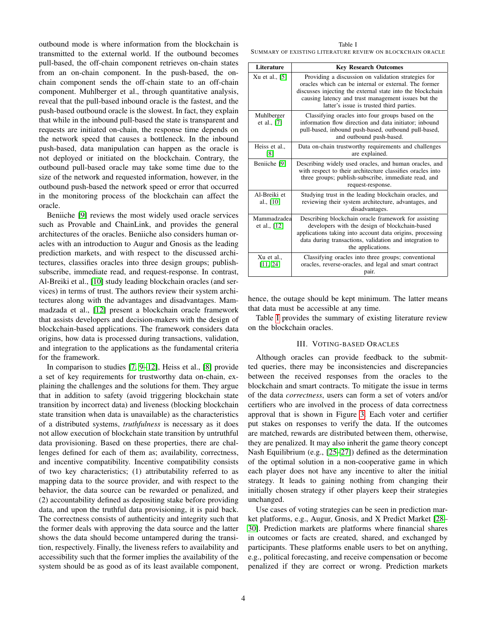outbound mode is where information from the blockchain is transmitted to the external world. If the outbound becomes pull-based, the off-chain component retrieves on-chain states from an on-chain component. In the push-based, the onchain component sends the off-chain state to an off-chain component. Muhlberger et al., through quantitative analysis, reveal that the pull-based inbound oracle is the fastest, and the push-based outbound oracle is the slowest. In fact, they explain that while in the inbound pull-based the state is transparent and requests are initiated on-chain, the response time depends on the network speed that causes a bottleneck. In the inbound push-based, data manipulation can happen as the oracle is not deployed or initiated on the blockchain. Contrary, the outbound pull-based oracle may take some time due to the size of the network and requested information, however, in the outbound push-based the network speed or error that occurred in the monitoring process of the blockchain can affect the oracle.

Beniiche [\[9\]](#page-22-8) reviews the most widely used oracle services such as Provable and ChainLink, and provides the general architectures of the oracles. Beniiche also considers human oracles with an introduction to Augur and Gnosis as the leading prediction markets, and with respect to the discussed architectures, classifies oracles into three design groups; publishsubscribe, immediate read, and request-response. In contrast, Al-Breiki et al., [\[10\]](#page-22-9) study leading blockchain oracles (and services) in terms of trust. The authors review their system architectures along with the advantages and disadvantages. Mammadzada et al., [\[12\]](#page-22-7) present a blockchain oracle framework that assists developers and decision-makers with the design of blockchain-based applications. The framework considers data origins, how data is processed during transactions, validation, and integration to the applications as the fundamental criteria for the framework.

In comparison to studies [\[7,](#page-22-6) [9](#page-22-8)[–12\]](#page-22-7), Heiss et al., [\[8\]](#page-22-23) provide a set of key requirements for trustworthy data on-chain, explaining the challenges and the solutions for them. They argue that in addition to safety (avoid triggering blockchain state transition by incorrect data) and liveness (blocking blockchain state transition when data is unavailable) as the characteristics of a distributed systems, *truthfulness* is necessary as it does not allow execution of blockchain state transition by untruthful data provisioning. Based on these properties, there are challenges defined for each of them as; availability, correctness, and incentive compatibility. Incentive compatibility consists of two key characteristics; (1) attributability referred to as mapping data to the source provider, and with respect to the behavior, the data source can be rewarded or penalized, and (2) accountability defined as depositing stake before providing data, and upon the truthful data provisioning, it is paid back. The correctness consists of authenticity and integrity such that the former deals with approving the data source and the latter shows the data should become untampered during the transition, respectively. Finally, the liveness refers to availability and accessibility such that the former implies the availability of the system should be as good as of its least available component,

<span id="page-3-1"></span>

| Table I                                                    |  |
|------------------------------------------------------------|--|
| SUMMARY OF EXISTING LITERATURE REVIEW ON BLOCKCHAIN ORACLE |  |

| Literature                  | <b>Key Research Outcomes</b>                                                                                                                                                                                                                                                  |
|-----------------------------|-------------------------------------------------------------------------------------------------------------------------------------------------------------------------------------------------------------------------------------------------------------------------------|
| Xu et al., [5]              | Providing a discussion on validation strategies for<br>oracles which can be internal or external. The former<br>discusses injecting the external state into the blockchain<br>causing latency and trust management issues but the<br>latter's issue is trusted third parties. |
| Muhlberger<br>et al., [7]   | Classifying oracles into four groups based on the<br>information flow direction and data initiator: inbound<br>pull-based, inbound push-based, outbound pull-based,<br>and outbound push-based.                                                                               |
| Heiss et al.,<br>[8]        | Data on-chain trustworthy requirements and challenges<br>are explained.                                                                                                                                                                                                       |
| Beniiche [9]                | Describing widely used oracles, and human oracles, and<br>with respect to their architecture classifies oracles into<br>three groups; publish-subscribe, immediate read, and<br>request-response.                                                                             |
| Al-Breiki et<br>al., $[10]$ | Studying trust in the leading blockchain oracles, and<br>reviewing their system architecture, advantages, and<br>disadvantages.                                                                                                                                               |
| Mammadzadea<br>et al., [12] | Describing blockchain oracle framework for assisting<br>developers with the design of blockchain-based<br>applications taking into account data origins, processing<br>data during transactions, validation and integration to<br>the applications.                           |
| Xu et al.,<br>[11, 24]      | Classifying oracles into three groups; conventional<br>oracles, reverse-oracles, and legal and smart contract<br>pair.                                                                                                                                                        |

hence, the outage should be kept minimum. The latter means that data must be accessible at any time.

Table [I](#page-3-1) provides the summary of existing literature review on the blockchain oracles.

# III. VOTING-BASED ORACLES

<span id="page-3-0"></span>Although oracles can provide feedback to the submitted queries, there may be inconsistencies and discrepancies between the received responses from the oracles to the blockchain and smart contracts. To mitigate the issue in terms of the data *correctness*, users can form a set of voters and/or certifiers who are involved in the process of data correctness approval that is shown in Figure [3.](#page-4-0) Each voter and certifier put stakes on responses to verify the data. If the outcomes are matched, rewards are distributed between them, otherwise, they are penalized. It may also inherit the game theory concept Nash Equilibrium (e.g., [\[25–](#page-22-24)[27\]](#page-22-25)) defined as the determination of the optimal solution in a non-cooperative game in which each player does not have any incentive to alter the initial strategy. It leads to gaining nothing from changing their initially chosen strategy if other players keep their strategies unchanged.

Use cases of voting strategies can be seen in prediction market platforms, e.g., Augur, Gnosis, and X Predict Market [\[28–](#page-22-26) [30\]](#page-22-27). Prediction markets are platforms where financial shares in outcomes or facts are created, shared, and exchanged by participants. These platforms enable users to bet on anything, e.g., political forecasting, and receive compensation or become penalized if they are correct or wrong. Prediction markets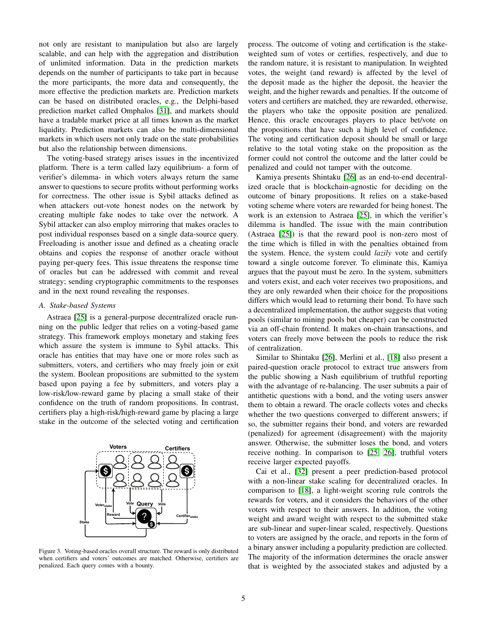not only are resistant to manipulation but also are largely scalable, and can help with the aggregation and distribution of unlimited information. Data in the prediction markets depends on the number of participants to take part in because the more participants, the more data and consequently, the more effective the prediction markets are. Prediction markets can be based on distributed oracles, e.g., the Delphi-based prediction market called Omphalos [\[31\]](#page-23-0), and markets should have a tradable market price at all times known as the market liquidity. Prediction markets can also be multi-dimensional markets in which users not only trade on the state probabilities but also the relationship between dimensions.

The voting-based strategy arises issues in the incentivized platform. There is a term called lazy equilibrium- a form of verifier's dilemma- in which voters always return the same answer to questions to secure profits without performing works for correctness. The other issue is Sybil attacks defined as when attackers out-vote honest nodes on the network by creating multiple fake nodes to take over the network. A Sybil attacker can also employ mirroring that makes oracles to post individual responses based on a single data-source query. Freeloading is another issue and defined as a cheating oracle obtains and copies the response of another oracle without paying per-query fees. This issue threatens the response time of oracles but can be addressed with commit and reveal strategy; sending cryptographic commitments to the responses and in the next round revealing the responses.

#### *A. Stake-based Systems*

Astraea [\[25\]](#page-22-24) is a general-purpose decentralized oracle running on the public ledger that relies on a voting-based game strategy. This framework employs monetary and staking fees which assure the system is immune to Sybil attacks. This oracle has entities that may have one or more roles such as submitters, voters, and certifiers who may freely join or exit the system. Boolean propositions are submitted to the system based upon paying a fee by submitters, and voters play a low-risk/low-reward game by placing a small stake of their confidence on the truth of random propositions. In contrast, certifiers play a high-risk/high-reward game by placing a large stake in the outcome of the selected voting and certification



<span id="page-4-0"></span>Figure 3. Voting-based oracles overall structure. The reward is only distributed when certifiers and voters' outcomes are matched. Otherwise, certifiers are penalized. Each query comes with a bounty.

process. The outcome of voting and certification is the stakeweighted sum of votes or certifies, respectively, and due to the random nature, it is resistant to manipulation. In weighted votes, the weight (and reward) is affected by the level of the deposit made as the higher the deposit, the heavier the weight, and the higher rewards and penalties. If the outcome of voters and certifiers are matched, they are rewarded, otherwise, the players who take the opposite position are penalized. Hence, this oracle encourages players to place bet/vote on the propositions that have such a high level of confidence. The voting and certification deposit should be small or large relative to the total voting stake on the proposition as the former could not control the outcome and the latter could be penalized and could not tamper with the outcome.

Kamiya presents Shintaku [\[26\]](#page-22-28) as an end-to-end decentralized oracle that is blockchain-agnostic for deciding on the outcome of binary propositions. It relies on a stake-based voting scheme where voters are rewarded for being honest. The work is an extension to Astraea [\[25\]](#page-22-24), in which the verifier's dilemma is handled. The issue with the main contribution (Astraea [\[25\]](#page-22-24)) is that the reward pool is non-zero most of the time which is filled in with the penalties obtained from the system. Hence, the system could *lazily* vote and certify toward a single outcome forever. To eliminate this, Kamiya argues that the payout must be zero. In the system, submitters and voters exist, and each voter receives two propositions, and they are only rewarded when their choice for the propositions differs which would lead to returning their bond. To have such a decentralized implementation, the author suggests that voting pools (similar to mining pools but cheaper) can be constructed via an off-chain frontend. It makes on-chain transactions, and voters can freely move between the pools to reduce the risk of centralization.

Similar to Shintaku [\[26\]](#page-22-28), Merlini et al., [\[18\]](#page-22-16) also present a paired-question oracle protocol to extract true answers from the public showing a Nash equilibrium of truthful reporting with the advantage of re-balancing. The user submits a pair of antithetic questions with a bond, and the voting users answer them to obtain a reward. The oracle collects votes and checks whether the two questions converged to different answers; if so, the submitter regains their bond, and voters are rewarded (penalized) for agreement (disagreement) with the majority answer. Otherwise, the submitter loses the bond, and voters receive nothing. In comparison to [\[25,](#page-22-24) [26\]](#page-22-28), truthful voters receive larger expected payoffs.

Cai et al., [\[32\]](#page-23-1) present a peer prediction-based protocol with a non-linear stake scaling for decentralized oracles. In comparison to [\[18\]](#page-22-16), a light-weight scoring rule controls the rewards for voters, and it considers the behaviors of the other voters with respect to their answers. In addition, the voting weight and award weight with respect to the submitted stake are sub-linear and super-linear scaled, respectively. Questions to voters are assigned by the oracle, and reports in the form of a binary answer including a popularity prediction are collected. The majority of the information determines the oracle answer that is weighted by the associated stakes and adjusted by a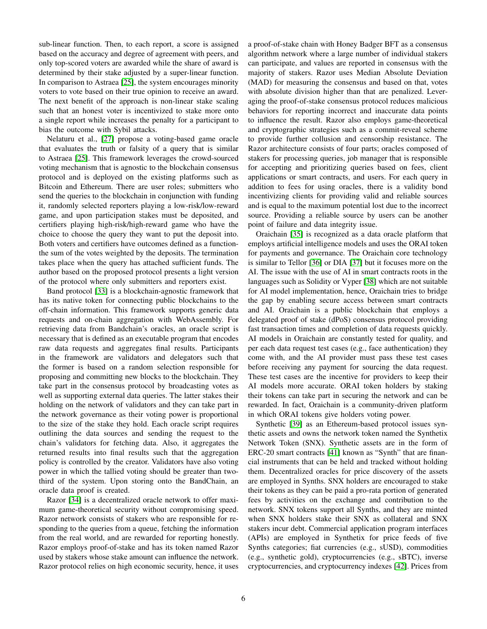sub-linear function. Then, to each report, a score is assigned based on the accuracy and degree of agreement with peers, and only top-scored voters are awarded while the share of award is determined by their stake adjusted by a super-linear function. In comparison to Astraea [\[25\]](#page-22-24), the system encourages minority voters to vote based on their true opinion to receive an award. The next benefit of the approach is non-linear stake scaling such that an honest voter is incentivized to stake more onto a single report while increases the penalty for a participant to bias the outcome with Sybil attacks.

Nelaturu et al., [\[27\]](#page-22-25) propose a voting-based game oracle that evaluates the truth or falsity of a query that is similar to Astraea [\[25\]](#page-22-24). This framework leverages the crowd-sourced voting mechanism that is agnostic to the blockchain consensus protocol and is deployed on the existing platforms such as Bitcoin and Ethereum. There are user roles; submitters who send the queries to the blockchain in conjunction with funding it, randomly selected reporters playing a low-risk/low-reward game, and upon participation stakes must be deposited, and certifiers playing high-risk/high-reward game who have the choice to choose the query they want to put the deposit into. Both voters and certifiers have outcomes defined as a functionthe sum of the votes weighted by the deposits. The termination takes place when the query has attached sufficient funds. The author based on the proposed protocol presents a light version of the protocol where only submitters and reporters exist.

Band protocol [\[33\]](#page-23-2) is a blockchain-agnostic framework that has its native token for connecting public blockchains to the off-chain information. This framework supports generic data requests and on-chain aggregation with WebAssembly. For retrieving data from Bandchain's oracles, an oracle script is necessary that is defined as an executable program that encodes raw data requests and aggregates final results. Participants in the framework are validators and delegators such that the former is based on a random selection responsible for proposing and committing new blocks to the blockchain. They take part in the consensus protocol by broadcasting votes as well as supporting external data queries. The latter stakes their holding on the network of validators and they can take part in the network governance as their voting power is proportional to the size of the stake they hold. Each oracle script requires outlining the data sources and sending the request to the chain's validators for fetching data. Also, it aggregates the returned results into final results such that the aggregation policy is controlled by the creator. Validators have also voting power in which the tallied voting should be greater than twothird of the system. Upon storing onto the BandChain, an oracle data proof is created.

Razor [\[34\]](#page-23-3) is a decentralized oracle network to offer maximum game-theoretical security without compromising speed. Razor network consists of stakers who are responsible for responding to the queries from a queue, fetching the information from the real world, and are rewarded for reporting honestly. Razor employs proof-of-stake and has its token named Razor used by stakers whose stake amount can influence the network. Razor protocol relies on high economic security, hence, it uses a proof-of-stake chain with Honey Badger BFT as a consensus algorithm network where a large number of individual stakers can participate, and values are reported in consensus with the majority of stakers. Razor uses Median Absolute Deviation (MAD) for measuring the consensus and based on that, votes with absolute division higher than that are penalized. Leveraging the proof-of-stake consensus protocol reduces malicious behaviors for reporting incorrect and inaccurate data points to influence the result. Razor also employs game-theoretical and cryptographic strategies such as a commit-reveal scheme to provide further collusion and censorship resistance. The Razor architecture consists of four parts; oracles composed of stakers for processing queries, job manager that is responsible for accepting and prioritizing queries based on fees, client applications or smart contracts, and users. For each query in addition to fees for using oracles, there is a validity bond incentivizing clients for providing valid and reliable sources and is equal to the maximum potential lost due to the incorrect source. Providing a reliable source by users can be another point of failure and data integrity issue.

Oraichain [\[35\]](#page-23-4) is recognized as a data oracle platform that employs artificial intelligence models and uses the ORAI token for payments and governance. The Oraichain core technology is similar to Tellor [\[36\]](#page-23-5) or DIA [\[37\]](#page-23-6) but it focuses more on the AI. The issue with the use of AI in smart contracts roots in the languages such as Solidity or Vyper [\[38\]](#page-23-7) which are not suitable for AI model implementation, hence, Oraichain tries to bridge the gap by enabling secure access between smart contracts and AI. Oraichain is a public blockchain that employs a delegated proof of stake (dPoS) consensus protocol providing fast transaction times and completion of data requests quickly. AI models in Oraichain are constantly tested for quality, and per each data request test cases (e.g., face authentication) they come with, and the AI provider must pass these test cases before receiving any payment for sourcing the data request. These test cases are the incentive for providers to keep their AI models more accurate. ORAI token holders by staking their tokens can take part in securing the network and can be rewarded. In fact, Oraichain is a community-driven platform in which ORAI tokens give holders voting power.

Synthetic [\[39\]](#page-23-8) as an Ethereum-based protocol issues synthetic assets and owns the network token named the Synthetix Network Token (SNX). Synthetic assets are in the form of ERC-20 smart contracts [\[41\]](#page-23-9) known as "Synth" that are financial instruments that can be held and tracked without holding them. Decentralized oracles for price discovery of the assets are employed in Synths. SNX holders are encouraged to stake their tokens as they can be paid a pro-rata portion of generated fees by activities on the exchange and contribution to the network. SNX tokens support all Synths, and they are minted when SNX holders stake their SNX as collateral and SNX stakers incur debt. Commercial application program interfaces (APIs) are employed in Synthetix for price feeds of five Synths categories; fiat currencies (e.g., sUSD), commodities (e.g., synthetic gold), cryptocurrencies (e.g., sBTC), inverse cryptocurrencies, and cryptocurrency indexes [\[42\]](#page-23-10). Prices from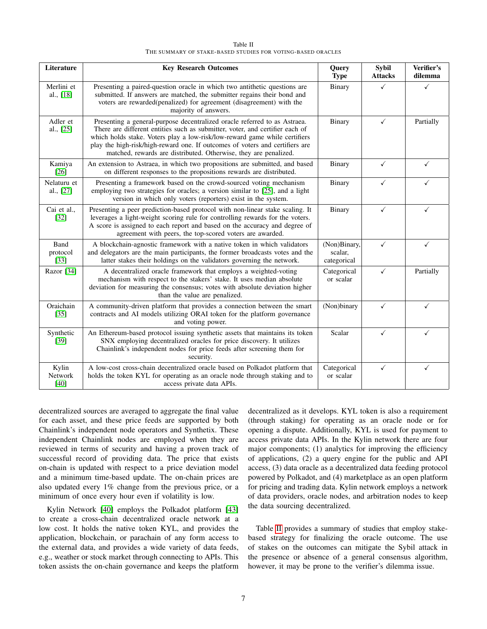| Table II                                                    |  |
|-------------------------------------------------------------|--|
| THE SUMMARY OF STAKE-BASED STUDIES FOR VOTING-BASED ORACLES |  |

<span id="page-6-0"></span>

| Literature                 | <b>Key Research Outcomes</b>                                                                                                                                                                                                                                                                                                                                                                | Query<br><b>Type</b>                   | <b>Sybil</b><br><b>Attacks</b> | Verifier's<br>dilemma |
|----------------------------|---------------------------------------------------------------------------------------------------------------------------------------------------------------------------------------------------------------------------------------------------------------------------------------------------------------------------------------------------------------------------------------------|----------------------------------------|--------------------------------|-----------------------|
| Merlini et<br>al., [18]    | Presenting a paired-question oracle in which two antithetic questions are<br>submitted. If answers are matched, the submitter regains their bond and<br>voters are rewarded(penalized) for agreement (disagreement) with the<br>majority of answers.                                                                                                                                        | <b>Binary</b>                          | ✓                              | ✓                     |
| Adler et<br>al., [25]      | Presenting a general-purpose decentralized oracle referred to as Astraea.<br>There are different entities such as submitter, voter, and certifier each of<br>which holds stake. Voters play a low-risk/low-reward game while certifiers<br>play the high-risk/high-reward one. If outcomes of voters and certifiers are<br>matched, rewards are distributed. Otherwise, they are penalized. | Binary                                 | $\checkmark$                   | Partially             |
| Kamiya<br>$[26]$           | An extension to Astraea, in which two propositions are submitted, and based<br>on different responses to the propositions rewards are distributed.                                                                                                                                                                                                                                          | Binary                                 | $\checkmark$                   | $\checkmark$          |
| Nelaturu et<br>al., [27]   | Presenting a framework based on the crowd-sourced voting mechanism<br>employing two strategies for oracles; a version similar to [25], and a light<br>version in which only voters (reporters) exist in the system.                                                                                                                                                                         | Binary                                 | ✓                              | ✓                     |
| Cai et al.,<br>$[32]$      | Presenting a peer prediction-based protocol with non-linear stake scaling. It<br>leverages a light-weight scoring rule for controlling rewards for the voters.<br>A score is assigned to each report and based on the accuracy and degree of<br>agreement with peers, the top-scored voters are awarded.                                                                                    | Binary                                 | $\checkmark$                   | ✓                     |
| Band<br>protocol<br>$[33]$ | A blockchain-agnostic framework with a native token in which validators<br>and delegators are the main participants, the former broadcasts votes and the<br>latter stakes their holdings on the validators governing the network.                                                                                                                                                           | (Non)Binary,<br>scalar,<br>categorical | $\checkmark$                   | ✓                     |
| Razor [34]                 | A decentralized oracle framework that employs a weighted-voting<br>mechanism with respect to the stakers' stake. It uses median absolute<br>deviation for measuring the consensus; votes with absolute deviation higher<br>than the value are penalized.                                                                                                                                    | Categorical<br>or scalar               | $\checkmark$                   | Partially             |
| Oraichain<br>$[35]$        | A community-driven platform that provides a connection between the smart<br>contracts and AI models utilizing ORAI token for the platform governance<br>and voting power.                                                                                                                                                                                                                   | (Non)binary                            | $\checkmark$                   | ✓                     |
| Synthetic<br>$[39]$        | An Ethereum-based protocol issuing synthetic assets that maintains its token<br>SNX employing decentralized oracles for price discovery. It utilizes<br>Chainlink's independent nodes for price feeds after screening them for<br>security.                                                                                                                                                 | Scalar                                 | $\checkmark$                   | ✓                     |
| Kylin<br>Network<br>$[40]$ | A low-cost cross-chain decentralized oracle based on Polkadot platform that<br>holds the token KYL for operating as an oracle node through staking and to<br>access private data APIs.                                                                                                                                                                                                      | Categorical<br>or scalar               | $\checkmark$                   | $\checkmark$          |

decentralized sources are averaged to aggregate the final value for each asset, and these price feeds are supported by both Chainlink's independent node operators and Synthetix. These independent Chainlink nodes are employed when they are reviewed in terms of security and having a proven track of successful record of providing data. The price that exists on-chain is updated with respect to a price deviation model and a minimum time-based update. The on-chain prices are also updated every 1% change from the previous price, or a minimum of once every hour even if volatility is low.

Kylin Network [\[40\]](#page-23-11) employs the Polkadot platform [\[43\]](#page-23-12) to create a cross-chain decentralized oracle network at a low cost. It holds the native token KYL, and provides the application, blockchain, or parachain of any form access to the external data, and provides a wide variety of data feeds, e.g., weather or stock market through connecting to APIs. This token assists the on-chain governance and keeps the platform

decentralized as it develops. KYL token is also a requirement (through staking) for operating as an oracle node or for opening a dispute. Additionally, KYL is used for payment to access private data APIs. In the Kylin network there are four major components; (1) analytics for improving the efficiency of applications, (2) a query engine for the public and API access, (3) data oracle as a decentralized data feeding protocol powered by Polkadot, and (4) marketplace as an open platform for pricing and trading data. Kylin network employs a network of data providers, oracle nodes, and arbitration nodes to keep the data sourcing decentralized.

Table [II](#page-6-0) provides a summary of studies that employ stakebased strategy for finalizing the oracle outcome. The use of stakes on the outcomes can mitigate the Sybil attack in the presence or absence of a general consensus algorithm, however, it may be prone to the verifier's dilemma issue.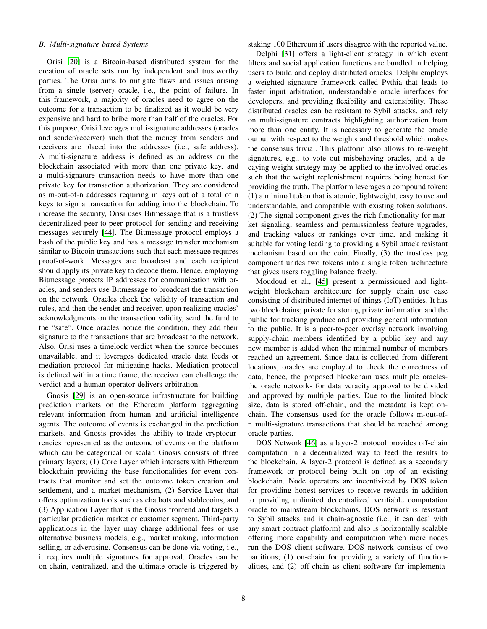## *B. Multi-signature based Systems*

Orisi [\[20\]](#page-22-18) is a Bitcoin-based distributed system for the creation of oracle sets run by independent and trustworthy parties. The Orisi aims to mitigate flaws and issues arising from a single (server) oracle, i.e., the point of failure. In this framework, a majority of oracles need to agree on the outcome for a transaction to be finalized as it would be very expensive and hard to bribe more than half of the oracles. For this purpose, Orisi leverages multi-signature addresses (oracles and sender/receiver) such that the money from senders and receivers are placed into the addresses (i.e., safe address). A multi-signature address is defined as an address on the blockchain associated with more than one private key, and a multi-signature transaction needs to have more than one private key for transaction authorization. They are considered as m-out-of-n addresses requiring m keys out of a total of n keys to sign a transaction for adding into the blockchain. To increase the security, Orisi uses Bitmessage that is a trustless decentralized peer-to-peer protocol for sending and receiving messages securely [\[44\]](#page-23-13). The Bitmessage protocol employs a hash of the public key and has a message transfer mechanism similar to Bitcoin transactions such that each message requires proof-of-work. Messages are broadcast and each recipient should apply its private key to decode them. Hence, employing Bitmessage protects IP addresses for communication with oracles, and senders use Bitmessage to broadcast the transaction on the network. Oracles check the validity of transaction and rules, and then the sender and receiver, upon realizing oracles' acknowledgments on the transaction validity, send the fund to the "safe". Once oracles notice the condition, they add their signature to the transactions that are broadcast to the network. Also, Orisi uses a timelock verdict when the source becomes unavailable, and it leverages dedicated oracle data feeds or mediation protocol for mitigating hacks. Mediation protocol is defined within a time frame, the receiver can challenge the verdict and a human operator delivers arbitration.

Gnosis [\[29\]](#page-22-29) is an open-source infrastructure for building prediction markets on the Ethereum platform aggregating relevant information from human and artificial intelligence agents. The outcome of events is exchanged in the prediction markets, and Gnosis provides the ability to trade cryptocurrencies represented as the outcome of events on the platform which can be categorical or scalar. Gnosis consists of three primary layers; (1) Core Layer which interacts with Ethereum blockchain providing the base functionalities for event contracts that monitor and set the outcome token creation and settlement, and a market mechanism, (2) Service Layer that offers optimization tools such as chatbots and stablecoins, and (3) Application Layer that is the Gnosis frontend and targets a particular prediction market or customer segment. Third-party applications in the layer may charge additional fees or use alternative business models, e.g., market making, information selling, or advertising. Consensus can be done via voting, i.e., it requires multiple signatures for approval. Oracles can be on-chain, centralized, and the ultimate oracle is triggered by staking 100 Ethereum if users disagree with the reported value.

Delphi [\[31\]](#page-23-0) offers a light-client strategy in which event filters and social application functions are bundled in helping users to build and deploy distributed oracles. Delphi employs a weighted signature framework called Pythia that leads to faster input arbitration, understandable oracle interfaces for developers, and providing flexibility and extensibility. These distributed oracles can be resistant to Sybil attacks, and rely on multi-signature contracts highlighting authorization from more than one entity. It is necessary to generate the oracle output with respect to the weights and threshold which makes the consensus trivial. This platform also allows to re-weight signatures, e.g., to vote out misbehaving oracles, and a decaying weight strategy may be applied to the involved oracles such that the weight replenishment requires being honest for providing the truth. The platform leverages a compound token; (1) a minimal token that is atomic, lightweight, easy to use and understandable, and compatible with existing token solutions. (2) The signal component gives the rich functionality for market signaling, seamless and permissionless feature upgrades, and tracking values or rankings over time, and making it suitable for voting leading to providing a Sybil attack resistant mechanism based on the coin. Finally, (3) the trustless peg component unites two tokens into a single token architecture that gives users toggling balance freely.

Moudoud et al., [\[45\]](#page-23-14) present a permissioned and lightweight blockchain architecture for supply chain use case consisting of distributed internet of things (IoT) entities. It has two blockchains; private for storing private information and the public for tracking produce and providing general information to the public. It is a peer-to-peer overlay network involving supply-chain members identified by a public key and any new member is added when the minimal number of members reached an agreement. Since data is collected from different locations, oracles are employed to check the correctness of data, hence, the proposed blockchain uses multiple oraclesthe oracle network- for data veracity approval to be divided and approved by multiple parties. Due to the limited block size, data is stored off-chain, and the metadata is kept onchain. The consensus used for the oracle follows m-out-ofn multi-signature transactions that should be reached among oracle parties.

DOS Network [\[46\]](#page-23-15) as a layer-2 protocol provides off-chain computation in a decentralized way to feed the results to the blockchain. A layer-2 protocol is defined as a secondary framework or protocol being built on top of an existing blockchain. Node operators are incentivized by DOS token for providing honest services to receive rewards in addition to providing unlimited decentralized verifiable computation oracle to mainstream blockchains. DOS network is resistant to Sybil attacks and is chain-agnostic (i.e., it can deal with any smart contract platform) and also is horizontally scalable offering more capability and computation when more nodes run the DOS client software. DOS network consists of two partitions; (1) on-chain for providing a variety of functionalities, and (2) off-chain as client software for implementa-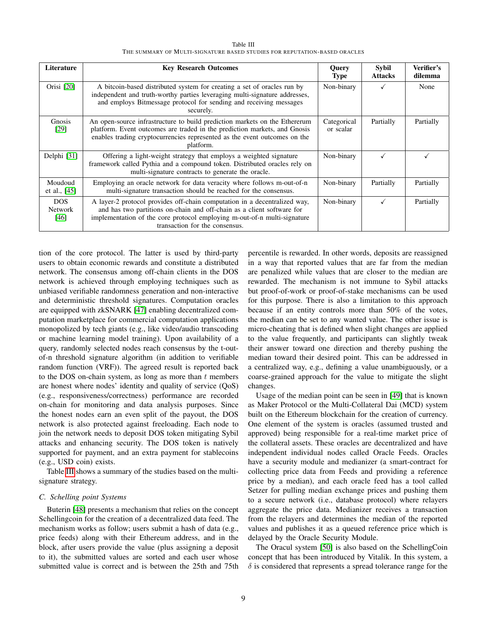<span id="page-8-0"></span>

| Literature                     | <b>Key Research Outcomes</b>                                                                                                                                                                                                                                      | <b>Query</b><br><b>Type</b> | <b>Sybil</b><br><b>Attacks</b> | Verifier's<br>dilemma |
|--------------------------------|-------------------------------------------------------------------------------------------------------------------------------------------------------------------------------------------------------------------------------------------------------------------|-----------------------------|--------------------------------|-----------------------|
| Orisi [20]                     | A bitcoin-based distributed system for creating a set of oracles run by<br>independent and truth-worthy parties leveraging multi-signature addresses,<br>and employs Bitmessage protocol for sending and receiving messages<br>securely.                          | Non-binary                  |                                | None                  |
| <b>Gnosis</b><br>[29]          | An open-source infrastructure to build prediction markets on the Ethererum<br>platform. Event outcomes are traded in the prediction markets, and Gnosis<br>enables trading cryptocurrencies represented as the event outcomes on the<br>platform.                 | Categorical<br>or scalar    | Partially                      | Partially             |
| Delphi [31]                    | Offering a light-weight strategy that employs a weighted signature<br>framework called Pythia and a compound token. Distributed oracles rely on<br>multi-signature contracts to generate the oracle.                                                              | Non-binary                  |                                |                       |
| Moudoud<br>et al., $[45]$      | Employing an oracle network for data veracity where follows m-out-of-n<br>multi-signature transaction should be reached for the consensus.                                                                                                                        | Non-binary                  | Partially                      | Partially             |
| DOS.<br><b>Network</b><br>[46] | A layer-2 protocol provides off-chain computation in a decentralized way,<br>and has two partitions on-chain and off-chain as a client software for<br>implementation of the core protocol employing m-out-of-n multi-signature<br>transaction for the consensus. | Non-binary                  |                                | Partially             |

Table III THE SUMMARY OF MULTI-SIGNATURE BASED STUDIES FOR REPUTATION-BASED ORACLES

tion of the core protocol. The latter is used by third-party users to obtain economic rewards and constitute a distributed network. The consensus among off-chain clients in the DOS network is achieved through employing techniques such as unbiased verifiable randomness generation and non-interactive and deterministic threshold signatures. Computation oracles are equipped with zkSNARK [\[47\]](#page-23-16) enabling decentralized computation marketplace for commercial computation applications monopolized by tech giants (e.g., like video/audio transcoding or machine learning model training). Upon availability of a query, randomly selected nodes reach consensus by the t-outof-n threshold signature algorithm (in addition to verifiable random function (VRF)). The agreed result is reported back to the DOS on-chain system, as long as more than  $t$  members are honest where nodes' identity and quality of service (QoS) (e.g., responsiveness/correctness) performance are recorded on-chain for monitoring and data analysis purposes. Since the honest nodes earn an even split of the payout, the DOS network is also protected against freeloading. Each node to join the network needs to deposit DOS token mitigating Sybil attacks and enhancing security. The DOS token is natively supported for payment, and an extra payment for stablecoins (e.g., USD coin) exists.

Table [III](#page-8-0) shows a summary of the studies based on the multisignature strategy.

#### *C. Schelling point Systems*

Buterin [\[48\]](#page-23-17) presents a mechanism that relies on the concept Schellingcoin for the creation of a decentralized data feed. The mechanism works as follow; users submit a hash of data (e.g., price feeds) along with their Ethereum address, and in the block, after users provide the value (plus assigning a deposit to it), the submitted values are sorted and each user whose submitted value is correct and is between the 25th and 75th

percentile is rewarded. In other words, deposits are reassigned in a way that reported values that are far from the median are penalized while values that are closer to the median are rewarded. The mechanism is not immune to Sybil attacks but proof-of-work or proof-of-stake mechanisms can be used for this purpose. There is also a limitation to this approach because if an entity controls more than 50% of the votes, the median can be set to any wanted value. The other issue is micro-cheating that is defined when slight changes are applied to the value frequently, and participants can slightly tweak their answer toward one direction and thereby pushing the median toward their desired point. This can be addressed in a centralized way, e.g., defining a value unambiguously, or a coarse-grained approach for the value to mitigate the slight changes.

Usage of the median point can be seen in [\[49\]](#page-23-18) that is known as Maker Protocol or the Multi-Collateral Dai (MCD) system built on the Ethereum blockchain for the creation of currency. One element of the system is oracles (assumed trusted and approved) being responsible for a real-time market price of the collateral assets. These oracles are decentralized and have independent individual nodes called Oracle Feeds. Oracles have a security module and medianizer (a smart-contract for collecting price data from Feeds and providing a reference price by a median), and each oracle feed has a tool called Setzer for pulling median exchange prices and pushing them to a secure network (i.e., database protocol) where relayers aggregate the price data. Medianizer receives a transaction from the relayers and determines the median of the reported values and publishes it as a queued reference price which is delayed by the Oracle Security Module.

The Oracul system [\[50\]](#page-23-19) is also based on the SchellingCoin concept that has been introduced by Vitalik. In this system, a  $\delta$  is considered that represents a spread tolerance range for the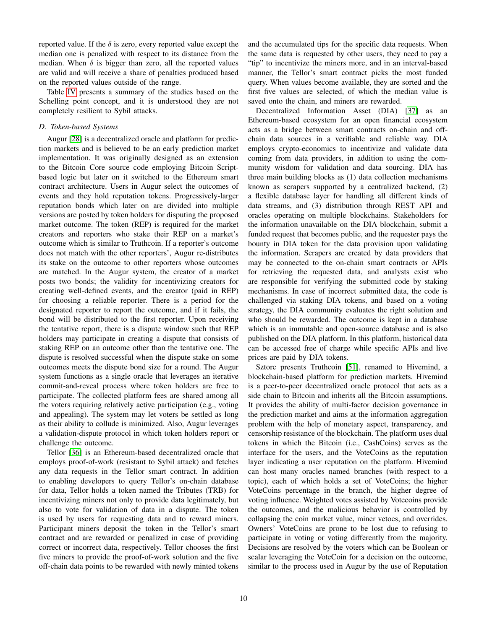reported value. If the  $\delta$  is zero, every reported value except the median one is penalized with respect to its distance from the median. When  $\delta$  is bigger than zero, all the reported values are valid and will receive a share of penalties produced based on the reported values outside of the range.

Table [IV](#page-10-0) presents a summary of the studies based on the Schelling point concept, and it is understood they are not completely resilient to Sybil attacks.

# *D. Token-based Systems*

Augur [\[28\]](#page-22-26) is a decentralized oracle and platform for prediction markets and is believed to be an early prediction market implementation. It was originally designed as an extension to the Bitcoin Core source code employing Bitcoin Scriptbased logic but later on it switched to the Ethereum smart contract architecture. Users in Augur select the outcomes of events and they hold reputation tokens. Progressively-larger reputation bonds which later on are divided into multiple versions are posted by token holders for disputing the proposed market outcome. The token (REP) is required for the market creators and reporters who stake their REP on a market's outcome which is similar to Truthcoin. If a reporter's outcome does not match with the other reporters', Augur re-distributes its stake on the outcome to other reporters whose outcomes are matched. In the Augur system, the creator of a market posts two bonds; the validity for incentivizing creators for creating well-defined events, and the creator (paid in REP) for choosing a reliable reporter. There is a period for the designated reporter to report the outcome, and if it fails, the bond will be distributed to the first reporter. Upon receiving the tentative report, there is a dispute window such that REP holders may participate in creating a dispute that consists of staking REP on an outcome other than the tentative one. The dispute is resolved successful when the dispute stake on some outcomes meets the dispute bond size for a round. The Augur system functions as a single oracle that leverages an iterative commit-and-reveal process where token holders are free to participate. The collected platform fees are shared among all the voters requiring relatively active participation (e.g., voting and appealing). The system may let voters be settled as long as their ability to collude is minimized. Also, Augur leverages a validation-dispute protocol in which token holders report or challenge the outcome.

Tellor [\[36\]](#page-23-5) is an Ethereum-based decentralized oracle that employs proof-of-work (resistant to Sybil attack) and fetches any data requests in the Tellor smart contract. In addition to enabling developers to query Tellor's on-chain database for data, Tellor holds a token named the Tributes (TRB) for incentivizing miners not only to provide data legitimately, but also to vote for validation of data in a dispute. The token is used by users for requesting data and to reward miners. Participant miners deposit the token in the Tellor's smart contract and are rewarded or penalized in case of providing correct or incorrect data, respectively. Tellor chooses the first five miners to provide the proof-of-work solution and the five off-chain data points to be rewarded with newly minted tokens and the accumulated tips for the specific data requests. When the same data is requested by other users, they need to pay a "tip" to incentivize the miners more, and in an interval-based manner, the Tellor's smart contract picks the most funded query. When values become available, they are sorted and the first five values are selected, of which the median value is saved onto the chain, and miners are rewarded.

Decentralized Information Asset (DIA) [\[37\]](#page-23-6) as an Ethereum-based ecosystem for an open financial ecosystem acts as a bridge between smart contracts on-chain and offchain data sources in a verifiable and reliable way. DIA employs crypto-economics to incentivize and validate data coming from data providers, in addition to using the community wisdom for validation and data sourcing. DIA has three main building blocks as (1) data collection mechanisms known as scrapers supported by a centralized backend, (2) a flexible database layer for handling all different kinds of data streams, and (3) distribution through REST API and oracles operating on multiple blockchains. Stakeholders for the information unavailable on the DIA blockchain, submit a funded request that becomes public, and the requester pays the bounty in DIA token for the data provision upon validating the information. Scrapers are created by data providers that may be connected to the on-chain smart contracts or APIs for retrieving the requested data, and analysts exist who are responsible for verifying the submitted code by staking mechanisms. In case of incorrect submitted data, the code is challenged via staking DIA tokens, and based on a voting strategy, the DIA community evaluates the right solution and who should be rewarded. The outcome is kept in a database which is an immutable and open-source database and is also published on the DIA platform. In this platform, historical data can be accessed free of charge while specific APIs and live prices are paid by DIA tokens.

Sztorc presents Truthcoin [\[51\]](#page-23-20), renamed to Hivemind, a blockchain-based platform for prediction markets. Hivemind is a peer-to-peer decentralized oracle protocol that acts as a side chain to Bitcoin and inherits all the Bitcoin assumptions. It provides the ability of multi-factor decision governance in the prediction market and aims at the information aggregation problem with the help of monetary aspect, transparency, and censorship resistance of the blockchain. The platform uses dual tokens in which the Bitcoin (i.e., CashCoins) serves as the interface for the users, and the VoteCoins as the reputation layer indicating a user reputation on the platform. Hivemind can host many oracles named branches (with respect to a topic), each of which holds a set of VoteCoins; the higher VoteCoins percentage in the branch, the higher degree of voting influence. Weighted votes assisted by Votecoins provide the outcomes, and the malicious behavior is controlled by collapsing the coin market value, miner vetoes, and overrides. Owners' VoteCoins are prone to be lost due to refusing to participate in voting or voting differently from the majority. Decisions are resolved by the voters which can be Boolean or scalar leveraging the VoteCoin for a decision on the outcome, similar to the process used in Augur by the use of Reputation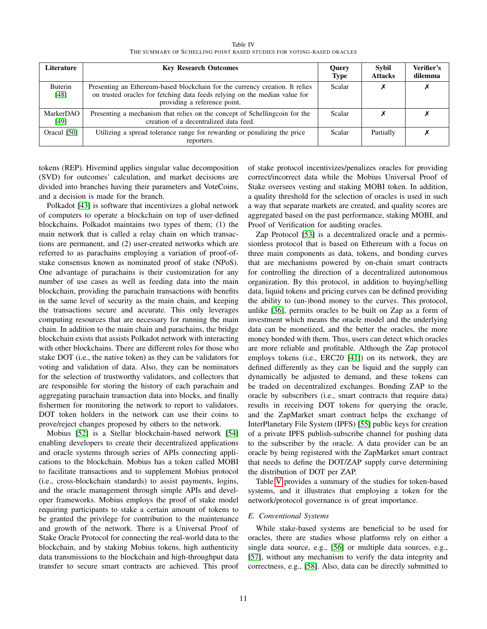Table IV THE SUMMARY OF SCHELLING POINT BASED STUDIES FOR VOTING-BASED ORACLES

<span id="page-10-0"></span>

| Literature               | <b>Key Research Outcomes</b>                                                                                                                                                               | <b>Query</b><br><b>Type</b> | Sybil<br><b>Attacks</b> | Verifier's<br>dilemma |
|--------------------------|--------------------------------------------------------------------------------------------------------------------------------------------------------------------------------------------|-----------------------------|-------------------------|-----------------------|
| <b>Buterin</b><br>[48]   | Presenting an Ethereum-based blockchain for the currency creation. It relies<br>on trusted oracles for fetching data feeds relying on the median value for<br>providing a reference point. | Scalar                      |                         |                       |
| <b>MarkerDAO</b><br>[49] | Presenting a mechanism that relies on the concept of Schellingcoin for the<br>creation of a decentralized data feed.                                                                       | Scalar                      |                         |                       |
| Oracul [50]              | Utilizing a spread tolerance range for rewarding or penalizing the price<br>reporters.                                                                                                     | Scalar                      | Partially               |                       |

tokens (REP). Hivemind applies singular value decomposition (SVD) for outcomes' calculation, and market decisions are divided into branches having their parameters and VoteCoins, and a decision is made for the branch.

Polkadot [\[43\]](#page-23-12) is software that incentivizes a global network of computers to operate a blockchain on top of user-defined blockchains. Polkadot maintains two types of them; (1) the main network that is called a relay chain on which transactions are permanent, and (2) user-created networks which are referred to as parachains employing a variation of proof-ofstake consensus known as nominated proof of stake (NPoS). One advantage of parachains is their customization for any number of use cases as well as feeding data into the main blockchain, providing the parachain transactions with benefits in the same level of security as the main chain, and keeping the transactions secure and accurate. This only leverages computing resources that are necessary for running the main chain. In addition to the main chain and parachains, the bridge blockchain exists that assists Polkadot network with interacting with other blockchains. There are different roles for those who stake DOT (i.e., the native token) as they can be validators for voting and validation of data. Also, they can be nominators for the selection of trustworthy validators, and collectors that are responsible for storing the history of each parachain and aggregating parachain transaction data into blocks, and finally fishermen for monitoring the network to report to validators. DOT token holders in the network can use their coins to prove/reject changes proposed by others to the network.

Mobius [\[52\]](#page-23-21) is a Stellar blockchain-based network [\[54\]](#page-23-22) enabling developers to create their decentralized applications and oracle systems through series of APIs connecting applications to the blockchain. Mobius has a token called MOBI to facilitate transactions and to supplement Mobius protocol (i.e., cross-blockchain standards) to assist payments, logins, and the oracle management through simple APIs and developer frameworks. Mobius employs the proof of stake model requiring participants to stake a certain amount of tokens to be granted the privilege for contribution to the maintenance and growth of the network. There is a Universal Proof of Stake Oracle Protocol for connecting the real-world data to the blockchain, and by staking Mobius tokens, high authenticity data transmissions to the blockchain and high-throughput data transfer to secure smart contracts are achieved. This proof of stake protocol incentivizes/penalizes oracles for providing correct/incorrect data while the Mobius Universal Proof of Stake oversees vesting and staking MOBI token. In addition, a quality threshold for the selection of oracles is used in such a way that separate markets are created, and quality scores are aggregated based on the past performance, staking MOBI, and Proof of Verification for auditing oracles.

Zap Protocol [\[53\]](#page-23-23) is a decentralized oracle and a permissionless protocol that is based on Ethereum with a focus on three main components as data, tokens, and bonding curves that are mechanisms powered by on-chain smart contracts for controlling the direction of a decentralized autonomous organization. By this protocol, in addition to buying/selling data, liquid tokens and pricing curves can be defined providing the ability to (un-)bond money to the curves. This protocol, unlike [\[36\]](#page-23-5), permits oracles to be built on Zap as a form of investment which means the oracle model and the underlying data can be monetized, and the better the oracles, the more money bonded with them. Thus, users can detect which oracles are more reliable and profitable. Although the Zap protocol employs tokens (i.e., ERC20 [\[41\]](#page-23-9)) on its network, they are defined differently as they can be liquid and the supply can dynamically be adjusted to demand, and these tokens can be traded on decentralized exchanges. Bonding ZAP to the oracle by subscribers (i.e., smart contracts that require data) results in receiving DOT tokens for querying the oracle, and the ZapMarket smart contract helps the exchange of InterPlanetary File System (IPFS) [\[55\]](#page-23-24) public keys for creation of a private IPFS publish-subscribe channel for pushing data to the subscriber by the oracle. A data provider can be an oracle by being registered with the ZapMarket smart contract that needs to define the DOT/ZAP supply curve determining the distribution of DOT per ZAP.

Table [V](#page-11-0) provides a summary of the studies for token-based systems, and it illustrates that employing a token for the network/protocol governance is of great importance.

# *E. Conventional Systems*

While stake-based systems are beneficial to be used for oracles, there are studies whose platforms rely on either a single data source, e.g., [\[56\]](#page-23-25) or multiple data sources, e.g., [\[57\]](#page-23-26), without any mechanism to verify the data integrity and correctness, e.g., [\[58\]](#page-23-27). Also, data can be directly submitted to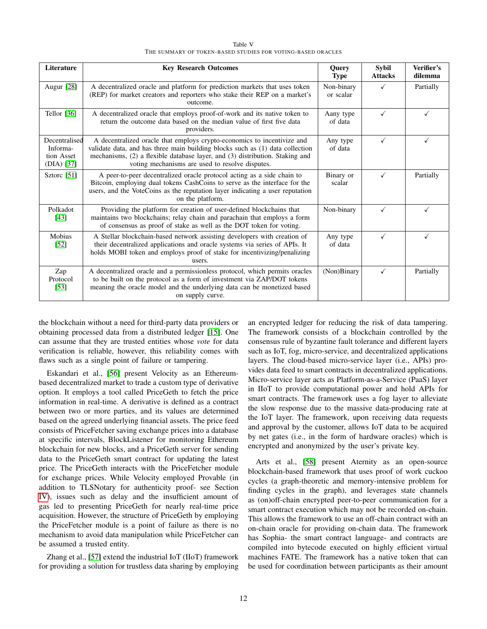| Table V                                                     |
|-------------------------------------------------------------|
| THE SUMMARY OF TOKEN-BASED STUDIES FOR VOTING-BASED ORACLES |

<span id="page-11-0"></span>

| Literature                                            | <b>Key Research Outcomes</b>                                                                                                                                                                                                                                                                | <b>Query</b><br><b>Type</b> | <b>Sybil</b><br><b>Attacks</b> | Verifier's<br>dilemma |
|-------------------------------------------------------|---------------------------------------------------------------------------------------------------------------------------------------------------------------------------------------------------------------------------------------------------------------------------------------------|-----------------------------|--------------------------------|-----------------------|
| Augur [28]                                            | A decentralized oracle and platform for prediction markets that uses token<br>(REP) for market creators and reporters who stake their REP on a market's<br>outcome.                                                                                                                         | Non-binary<br>or scalar     |                                | Partially             |
| Tellor $[36]$                                         | A decentralized oracle that employs proof-of-work and its native token to<br>return the outcome data based on the median value of first five data<br>providers.                                                                                                                             | Aany type<br>of data        | ✓                              | ✓                     |
| Decentralised<br>Informa-<br>tion Asset<br>(DIA) [37] | A decentralized oracle that employs crypto-economics to incentivize and<br>validate data, and has three main building blocks such as (1) data collection<br>mechanisms, (2) a flexible database layer, and (3) distribution. Staking and<br>voting mechanisms are used to resolve disputes. | Any type<br>of data         | ✓                              | ✓                     |
| Sztorc [51]                                           | A peer-to-peer decentralized oracle protocol acting as a side chain to<br>Bitcoin, employing dual tokens CashCoins to serve as the interface for the<br>users, and the VoteCoins as the reputation layer indicating a user reputation<br>on the platform.                                   | Binary or<br>scalar         | ✓                              | Partially             |
| Polkadot<br>[43]                                      | Providing the platform for creation of user-defined blockchains that<br>maintains two blockchains; relay chain and parachain that employs a form<br>of consensus as proof of stake as well as the DOT token for voting.                                                                     | Non-binary                  | $\checkmark$                   | $\checkmark$          |
| <b>Mobius</b><br>$[52]$                               | A Stellar blockchain-based network assisting developers with creation of<br>their decentralized applications and oracle systems via series of APIs. It<br>holds MOBI token and employs proof of stake for incentivizing/penalizing<br>users.                                                | Any type<br>of data         | ✓                              | ✓                     |
| Zap<br>Protocol<br>$[53]$                             | A decentralized oracle and a permissionless protocol, which permits oracles<br>to be built on the protocol as a form of investment via ZAP/DOT tokens<br>meaning the oracle model and the underlying data can be monetized based<br>on supply curve.                                        | (Non)Binary                 | ✓                              | Partially             |

the blockchain without a need for third-party data providers or obtaining processed data from a distributed ledger [\[15\]](#page-22-13). One can assume that they are trusted entities whose *vote* for data verification is reliable, however, this reliability comes with flaws such as a single point of failure or tampering.

Eskandari et al., [\[56\]](#page-23-25) present Velocity as an Ethereumbased decentralized market to trade a custom type of derivative option. It employs a tool called PriceGeth to fetch the price information in real-time. A derivative is defined as a contract between two or more parties, and its values are determined based on the agreed underlying financial assets. The price feed consists of PriceFetcher saving exchange prices into a database at specific intervals, BlockListener for monitoring Ethereum blockchain for new blocks, and a PriceGeth server for sending data to the PriceGeth smart contract for updating the latest price. The PriceGeth interacts with the PriceFetcher module for exchange prices. While Velocity employed Provable (in addition to TLSNotary for authenticity proof- see Section [IV\)](#page-12-0), issues such as delay and the insufficient amount of gas led to presenting PriceGeth for nearly real-time price acquisition. However, the structure of PriceGeth by employing the PriceFetcher module is a point of failure as there is no mechanism to avoid data manipulation while PriceFetcher can be assumed a trusted entity.

Zhang et al., [\[57\]](#page-23-26) extend the industrial IoT (IIoT) framework for providing a solution for trustless data sharing by employing an encrypted ledger for reducing the risk of data tampering. The framework consists of a blockchain controlled by the consensus rule of byzantine fault tolerance and different layers such as IoT, fog, micro-service, and decentralized applications layers. The cloud-based micro-service layer (i.e., APIs) provides data feed to smart contracts in decentralized applications. Micro-service layer acts as Platform-as-a-Service (PaaS) layer in IIoT to provide computational power and hold APIs for smart contracts. The framework uses a fog layer to alleviate the slow response due to the massive data-producing rate at the IoT layer. The framework, upon receiving data requests and approval by the customer, allows IoT data to be acquired by net gates (i.e., in the form of hardware oracles) which is encrypted and anonymized by the user's private key.

Arts et al., [\[58\]](#page-23-27) present Aternity as an open-source blockchain-based framework that uses proof of work cuckoo cycles (a graph-theoretic and memory-intensive problem for finding cycles in the graph), and leverages state channels as (on)off-chain encrypted peer-to-peer communication for a smart contract execution which may not be recorded on-chain. This allows the framework to use an off-chain contract with an on-chain oracle for providing on-chain data. The framework has Sophia- the smart contract language- and contracts are compiled into bytecode executed on highly efficient virtual machines FATE. The framework has a native token that can be used for coordination between participants as their amount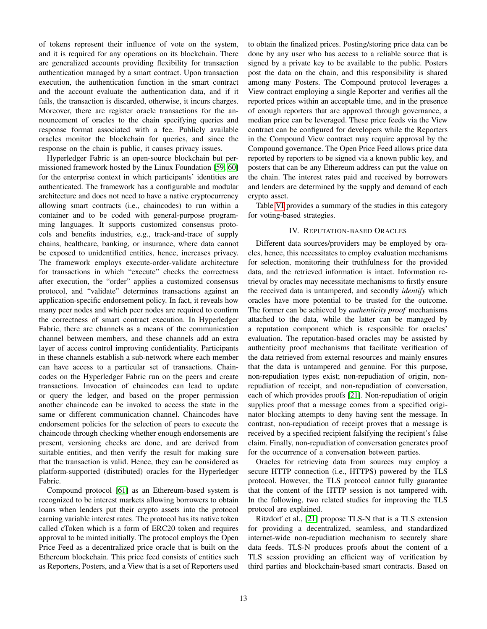of tokens represent their influence of vote on the system, and it is required for any operations on its blockchain. There are generalized accounts providing flexibility for transaction authentication managed by a smart contract. Upon transaction execution, the authentication function in the smart contract and the account evaluate the authentication data, and if it fails, the transaction is discarded, otherwise, it incurs charges. Moreover, there are register oracle transactions for the announcement of oracles to the chain specifying queries and response format associated with a fee. Publicly available oracles monitor the blockchain for queries, and since the response on the chain is public, it causes privacy issues.

Hyperledger Fabric is an open-source blockchain but permissioned framework hosted by the Linux Foundation [\[59,](#page-23-28) [60\]](#page-23-29) for the enterprise context in which participants' identities are authenticated. The framework has a configurable and modular architecture and does not need to have a native cryptocurrency allowing smart contracts (i.e., chaincodes) to run within a container and to be coded with general-purpose programming languages. It supports customized consensus protocols and benefits industries, e.g., track-and-trace of supply chains, healthcare, banking, or insurance, where data cannot be exposed to unidentified entities, hence, increases privacy. The framework employs execute-order-validate architecture for transactions in which "execute" checks the correctness after execution, the "order" applies a customized consensus protocol, and "validate" determines transactions against an application-specific endorsement policy. In fact, it reveals how many peer nodes and which peer nodes are required to confirm the correctness of smart contract execution. In Hyperledger Fabric, there are channels as a means of the communication channel between members, and these channels add an extra layer of access control improving confidentiality. Participants in these channels establish a sub-network where each member can have access to a particular set of transactions. Chaincodes on the Hyperledger Fabric run on the peers and create transactions. Invocation of chaincodes can lead to update or query the ledger, and based on the proper permission another chaincode can be invoked to access the state in the same or different communication channel. Chaincodes have endorsement policies for the selection of peers to execute the chaincode through checking whether enough endorsements are present, versioning checks are done, and are derived from suitable entities, and then verify the result for making sure that the transaction is valid. Hence, they can be considered as platform-supported (distributed) oracles for the Hyperledger Fabric.

Compound protocol [\[61\]](#page-23-30) as an Ethereum-based system is recognized to be interest markets allowing borrowers to obtain loans when lenders put their crypto assets into the protocol earning variable interest rates. The protocol has its native token called cToken which is a form of ERC20 token and requires approval to be minted initially. The protocol employs the Open Price Feed as a decentralized price oracle that is built on the Ethereum blockchain. This price feed consists of entities such as Reporters, Posters, and a View that is a set of Reporters used to obtain the finalized prices. Posting/storing price data can be done by any user who has access to a reliable source that is signed by a private key to be available to the public. Posters post the data on the chain, and this responsibility is shared among many Posters. The Compound protocol leverages a View contract employing a single Reporter and verifies all the reported prices within an acceptable time, and in the presence of enough reporters that are approved through governance, a median price can be leveraged. These price feeds via the View contract can be configured for developers while the Reporters in the Compound View contract may require approval by the Compound governance. The Open Price Feed allows price data reported by reporters to be signed via a known public key, and posters that can be any Ethereum address can put the value on the chain. The interest rates paid and received by borrowers and lenders are determined by the supply and demand of each crypto asset.

Table [VI](#page-13-0) provides a summary of the studies in this category for voting-based strategies.

#### IV. REPUTATION-BASED ORACLES

<span id="page-12-0"></span>Different data sources/providers may be employed by oracles, hence, this necessitates to employ evaluation mechanisms for selection, monitoring their truthfulness for the provided data, and the retrieved information is intact. Information retrieval by oracles may necessitate mechanisms to firstly ensure the received data is untampered, and secondly *identify* which oracles have more potential to be trusted for the outcome. The former can be achieved by *authenticity proof* mechanisms attached to the data, while the latter can be managed by a reputation component which is responsible for oracles' evaluation. The reputation-based oracles may be assisted by authenticity proof mechanisms that facilitate verification of the data retrieved from external resources and mainly ensures that the data is untampered and genuine. For this purpose, non-repudiation types exist; non-repudiation of origin, nonrepudiation of receipt, and non-repudiation of conversation, each of which provides proofs [\[21\]](#page-22-19). Non-repudiation of origin supplies proof that a message comes from a specified originator blocking attempts to deny having sent the message. In contrast, non-repudiation of receipt proves that a message is received by a specified recipient falsifying the recipient's false claim. Finally, non-repudiation of conversation generates proof for the occurrence of a conversation between parties.

Oracles for retrieving data from sources may employ a secure HTTP connection (i.e., HTTPS) powered by the TLS protocol. However, the TLS protocol cannot fully guarantee that the content of the HTTP session is not tampered with. In the following, two related studies for improving the TLS protocol are explained.

Ritzdorf et al., [\[21\]](#page-22-19) propose TLS-N that is a TLS extension for providing a decentralized, seamless, and standardized internet-wide non-repudiation mechanism to securely share data feeds. TLS-N produces proofs about the content of a TLS session providing an efficient way of verification by third parties and blockchain-based smart contracts. Based on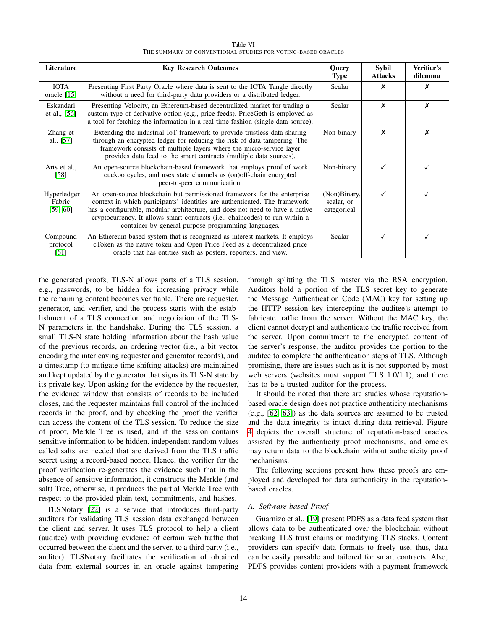| Table VI                                                     |  |
|--------------------------------------------------------------|--|
| THE SUMMARY OF CONVENTIONAL STUDIES FOR VOTING-BASED ORACLES |  |

<span id="page-13-0"></span>

| Literature                        | <b>Key Research Outcomes</b>                                                                                                                                                                                                                                                                                                                                                 | <b>Query</b><br><b>Type</b>               | <b>Sybil</b><br><b>Attacks</b> | Verifier's<br>dilemma |
|-----------------------------------|------------------------------------------------------------------------------------------------------------------------------------------------------------------------------------------------------------------------------------------------------------------------------------------------------------------------------------------------------------------------------|-------------------------------------------|--------------------------------|-----------------------|
| <b>IOTA</b><br>oracle [15]        | Presenting First Party Oracle where data is sent to the IOTA Tangle directly<br>without a need for third-party data providers or a distributed ledger.                                                                                                                                                                                                                       | Scalar                                    | х                              | х                     |
| Eskandari<br>et al., [56]         | Presenting Velocity, an Ethereum-based decentralized market for trading a<br>custom type of derivative option (e.g., price feeds). PriceGeth is employed as<br>a tool for fetching the information in a real-time fashion (single data source).                                                                                                                              | Scalar                                    | X                              | Х                     |
| Zhang et<br>al., [57]             | Extending the industrial IoT framework to provide trustless data sharing<br>through an encrypted ledger for reducing the risk of data tampering. The<br>framework consists of multiple layers where the micro-service layer<br>provides data feed to the smart contracts (multiple data sources).                                                                            | Non-binary                                | X                              | х                     |
| Arts et al.,<br>$[58]$            | An open-source blockchain-based framework that employs proof of work<br>cuckoo cycles, and uses state channels as (on)off-chain encrypted<br>peer-to-peer communication.                                                                                                                                                                                                     | Non-binary                                | √                              |                       |
| Hyperledger<br>Fabric<br>[59, 60] | An open-source blockchain but permissioned framework for the enterprise<br>context in which participants' identities are authenticated. The framework<br>has a configurable, modular architecture, and does not need to have a native<br>cryptocurrency. It allows smart contracts (i.e., chaincodes) to run within a<br>container by general-purpose programming languages. | (Non)Binary,<br>scalar, or<br>categorical | ✓                              |                       |
| Compound<br>protocol<br>[61]      | An Ethereum-based system that is recognized as interest markets. It employs<br>cToken as the native token and Open Price Feed as a decentralized price<br>oracle that has entities such as posters, reporters, and view.                                                                                                                                                     | Scalar                                    | ✓                              |                       |

the generated proofs, TLS-N allows parts of a TLS session, e.g., passwords, to be hidden for increasing privacy while the remaining content becomes verifiable. There are requester, generator, and verifier, and the process starts with the establishment of a TLS connection and negotiation of the TLS-N parameters in the handshake. During the TLS session, a small TLS-N state holding information about the hash value of the previous records, an ordering vector (i.e., a bit vector encoding the interleaving requester and generator records), and a timestamp (to mitigate time-shifting attacks) are maintained and kept updated by the generator that signs its TLS-N state by its private key. Upon asking for the evidence by the requester, the evidence window that consists of records to be included closes, and the requester maintains full control of the included records in the proof, and by checking the proof the verifier can access the content of the TLS session. To reduce the size of proof, Merkle Tree is used, and if the session contains sensitive information to be hidden, independent random values called salts are needed that are derived from the TLS traffic secret using a record-based nonce. Hence, the verifier for the proof verification re-generates the evidence such that in the absence of sensitive information, it constructs the Merkle (and salt) Tree, otherwise, it produces the partial Merkle Tree with respect to the provided plain text, commitments, and hashes.

TLSNotary [\[22\]](#page-22-20) is a service that introduces third-party auditors for validating TLS session data exchanged between the client and server. It uses TLS protocol to help a client (auditee) with providing evidence of certain web traffic that occurred between the client and the server, to a third party (i.e., auditor). TLSNotary facilitates the verification of obtained data from external sources in an oracle against tampering through splitting the TLS master via the RSA encryption. Auditors hold a portion of the TLS secret key to generate the Message Authentication Code (MAC) key for setting up the HTTP session key intercepting the auditee's attempt to fabricate traffic from the server. Without the MAC key, the client cannot decrypt and authenticate the traffic received from the server. Upon commitment to the encrypted content of the server's response, the auditor provides the portion to the auditee to complete the authentication steps of TLS. Although promising, there are issues such as it is not supported by most web servers (websites must support TLS 1.0/1.1), and there has to be a trusted auditor for the process.

It should be noted that there are studies whose reputationbased oracle design does not practice authenticity mechanisms (e.g., [\[62,](#page-23-31) [63\]](#page-23-32)) as the data sources are assumed to be trusted and the data integrity is intact during data retrieval. Figure [4](#page-14-0) depicts the overall structure of reputation-based oracles assisted by the authenticity proof mechanisms, and oracles may return data to the blockchain without authenticity proof mechanisms.

The following sections present how these proofs are employed and developed for data authenticity in the reputationbased oracles.

# *A. Software-based Proof*

Guarnizo et al., [\[19\]](#page-22-17) present PDFS as a data feed system that allows data to be authenticated over the blockchain without breaking TLS trust chains or modifying TLS stacks. Content providers can specify data formats to freely use, thus, data can be easily parsable and tailored for smart contracts. Also, PDFS provides content providers with a payment framework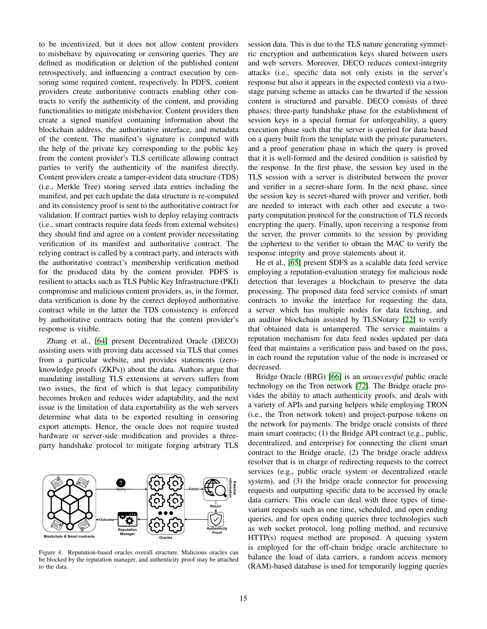to be incentivized, but it does not allow content providers to misbehave by equivocating or censoring queries. They are defined as modification or deletion of the published content retrospectively, and influencing a contract execution by censoring some required content, respectively. In PDFS, content providers create authoritative contracts enabling other contracts to verify the authenticity of the content, and providing functionalities to mitigate misbehavior. Content providers then create a signed manifest containing information about the blockchain address, the authoritative interface, and metadata of the content. The manifest's signature is computed with the help of the private key corresponding to the public key from the content provider's TLS certificate allowing contract parties to verify the authenticity of the manifest directly. Content providers create a tamper-evident data structure (TDS) (i.e., Merkle Tree) storing served data entries including the manifest, and per each update the data structure is re-computed and its consistency proof is sent to the authoritative contract for validation. If contract parties wish to deploy relaying contracts (i.e., smart contracts require data feeds from external websites) they should find and agree on a content provider necessitating verification of its manifest and authoritative contract. The relying contract is called by a contract party, and interacts with the authoritative contract's membership verification method for the produced data by the content provider. PDFS is resilient to attacks such as TLS Public Key Infrastructure (PKI) compromise and malicious content providers, as, in the former, data verification is done by the correct deployed authoritative contract while in the latter the TDS consistency is enforced by authoritative contracts noting that the content provider's response is visible.

Zhang et al., [\[64\]](#page-23-33) present Decentralized Oracle (DECO) assisting users with proving data accessed via TLS that comes from a particular website, and provides statements (zeroknowledge proofs (ZKPs)) about the data. Authors argue that mandating installing TLS extensions at servers suffers from two issues, the first of which is that legacy compatibility becomes broken and reduces wider adaptability, and the next issue is the limitation of data exportability as the web servers determine what data to be exported resulting in censoring export attempts. Hence, the oracle does not require trusted hardware or server-side modification and provides a threeparty handshake protocol to mitigate forging arbitrary TLS



<span id="page-14-0"></span>Figure 4. Reputation-based oracles overall structure. Malicious oracles can be blocked by the reputation manager, and authenticity proof may be attached to the data.

session data. This is due to the TLS nature generating symmetric encryption and authentication keys shared between users and web servers. Moreover, DECO reduces context-integrity attacks (i.e., specific data not only exists in the server's response but also it appears in the expected context) via a twostage parsing scheme as attacks can be thwarted if the session content is structured and parsable. DECO consists of three phases; three-party handshake phase for the establishment of session keys in a special format for unforgeability, a query execution phase such that the server is queried for data based on a query built from the template with the private parameters, and a proof generation phase in which the query is proved that it is well-formed and the desired condition is satisfied by the response. In the first phase, the session key used in the TLS session with a server is distributed between the prover and verifier in a secret-share form. In the next phase, since the session key is secret-shared with prover and verifier, both are needed to interact with each other and execute a twoparty computation protocol for the construction of TLS records encrypting the query. Finally, upon receiving a response from the server, the prover commits to the session by providing the ciphertext to the verifier to obtain the MAC to verify the response integrity and prove statements about it.

He et al., [\[65\]](#page-23-34) present SDFS as a scalable data feed service employing a reputation-evaluation strategy for malicious node detection that leverages a blockchain to preserve the data processing. The proposed data feed service consists of smart contracts to invoke the interface for requesting the data, a server which has multiple nodes for data fetching, and an auditor blockchain assisted by TLSNotary [\[22\]](#page-22-20) to verify that obtained data is untampered. The service maintains a reputation mechanism for data feed nodes updated per data feed that maintains a verification pass and based on the pass, in each round the reputation value of the node is increased or decreased.

Bridge Oracle (BRG) [\[66\]](#page-23-35) is an *unsuccessful* public oracle technology on the Tron network [\[72\]](#page-24-0). The Bridge oracle provides the ability to attach authenticity proofs, and deals with a variety of APIs and parsing helpers while employing TRON (i.e., the Tron network token) and project-purpose tokens on the network for payments. The bridge oracle consists of three main smart contracts; (1) the Bridge API contract (e.g., public, decentralized, and enterprise) for connecting the client smart contract to the Bridge oracle, (2) The bridge oracle address resolver that is in charge of redirecting requests to the correct services (e.g., public oracle system or decentralized oracle system), and (3) the bridge oracle connector for processing requests and outputting specific data to be accessed by oracle data carriers. This oracle can deal with three types of timevariant requests such as one time, scheduled, and open ending queries, and for open ending queries three technologies such as web socket protocol, long polling method, and recursive HTTP(s) request method are proposed. A queuing system is employed for the off-chain bridge oracle architecture to balance the load of data carriers, a random access memory (RAM)-based database is used for temporarily logging queries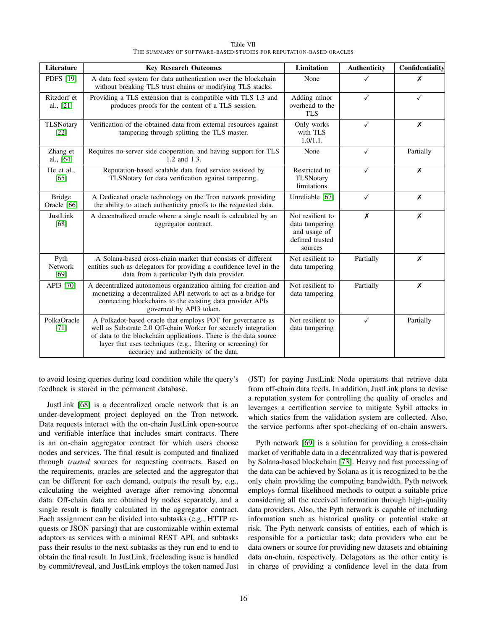<span id="page-15-0"></span>

| Literature                   | <b>Key Research Outcomes</b>                                                                                                                                                                                                                                                                                 | Limitation                                                                       | <b>Authenticity</b> | Confidentiality |
|------------------------------|--------------------------------------------------------------------------------------------------------------------------------------------------------------------------------------------------------------------------------------------------------------------------------------------------------------|----------------------------------------------------------------------------------|---------------------|-----------------|
| <b>PDFS</b> [19]             | A data feed system for data authentication over the blockchain<br>without breaking TLS trust chains or modifying TLS stacks.                                                                                                                                                                                 | None                                                                             | ✓                   | X               |
| Ritzdorf et<br>al., $[21]$   | Providing a TLS extension that is compatible with TLS 1.3 and<br>produces proofs for the content of a TLS session.                                                                                                                                                                                           | Adding minor<br>overhead to the<br><b>TLS</b>                                    | ✓                   | ✓               |
| <b>TLSNotary</b><br>[22]     | Verification of the obtained data from external resources against<br>tampering through splitting the TLS master.                                                                                                                                                                                             | Only works<br>with TLS<br>$1.0/1.1$ .                                            | ✓                   | X               |
| Zhang et<br>al., [64]        | Requires no-server side cooperation, and having support for TLS<br>1.2 and 1.3.                                                                                                                                                                                                                              | None                                                                             | $\checkmark$        | Partially       |
| He et al<br>[65]             | Reputation-based scalable data feed service assisted by<br>TLSNotary for data verification against tampering.                                                                                                                                                                                                | Restricted to<br><b>TLSNotary</b><br>limitations                                 | ✓                   | X               |
| <b>Bridge</b><br>Oracle [66] | A Dedicated oracle technology on the Tron network providing<br>the ability to attach authenticity proofs to the requested data.                                                                                                                                                                              | Unreliable [67]                                                                  | $\checkmark$        | Х               |
| JustLink<br>[68]             | A decentralized oracle where a single result is calculated by an<br>aggregator contract.                                                                                                                                                                                                                     | Not resilient to<br>data tampering<br>and usage of<br>defined trusted<br>sources | X                   | X               |
| Pyth<br>Network<br>$[69]$    | A Solana-based cross-chain market that consists of different<br>entities such as delegators for providing a confidence level in the<br>data from a particular Pyth data provider.                                                                                                                            | Not resilient to<br>data tampering                                               | Partially           | X               |
| API3 [70]                    | A decentralized autonomous organization aiming for creation and<br>monetizing a decentralized API network to act as a bridge for<br>connecting blockchains to the existing data provider APIs<br>governed by API3 token.                                                                                     | Not resilient to<br>data tampering                                               | Partially           | X               |
| PolkaOracle<br>$[71]$        | A Polkadot-based oracle that employs POT for governance as<br>well as Substrate 2.0 Off-chain Worker for securely integration<br>of data to the blockchain applications. There is the data source<br>layer that uses techniques (e.g., filtering or screening) for<br>accuracy and authenticity of the data. | Not resilient to<br>data tampering                                               | $\checkmark$        | Partially       |

Table VII THE SUMMARY OF SOFTWARE-BASED STUDIES FOR REPUTATION-BASED ORACLES

to avoid losing queries during load condition while the query's feedback is stored in the permanent database.

JustLink [\[68\]](#page-24-2) is a decentralized oracle network that is an under-development project deployed on the Tron network. Data requests interact with the on-chain JustLink open-source and verifiable interface that includes smart contracts. There is an on-chain aggregator contract for which users choose nodes and services. The final result is computed and finalized through *trusted* sources for requesting contracts. Based on the requirements, oracles are selected and the aggregator that can be different for each demand, outputs the result by, e.g., calculating the weighted average after removing abnormal data. Off-chain data are obtained by nodes separately, and a single result is finally calculated in the aggregator contract. Each assignment can be divided into subtasks (e.g., HTTP requests or JSON parsing) that are customizable within external adaptors as services with a minimal REST API, and subtasks pass their results to the next subtasks as they run end to end to obtain the final result. In JustLink, freeloading issue is handled by commit/reveal, and JustLink employs the token named Just (JST) for paying JustLink Node operators that retrieve data from off-chain data feeds. In addition, JustLink plans to devise a reputation system for controlling the quality of oracles and leverages a certification service to mitigate Sybil attacks in which statics from the validation system are collected. Also, the service performs after spot-checking of on-chain answers.

Pyth network [\[69\]](#page-24-3) is a solution for providing a cross-chain market of verifiable data in a decentralized way that is powered by Solana-based blockchain [\[73\]](#page-24-6). Heavy and fast processing of the data can be achieved by Solana as it is recognized to be the only chain providing the computing bandwidth. Pyth network employs formal likelihood methods to output a suitable price considering all the received information through high-quality data providers. Also, the Pyth network is capable of including information such as historical quality or potential stake at risk. The Pyth network consists of entities, each of which is responsible for a particular task; data providers who can be data owners or source for providing new datasets and obtaining data on-chain, respectively. Delagotors as the other entity is in charge of providing a confidence level in the data from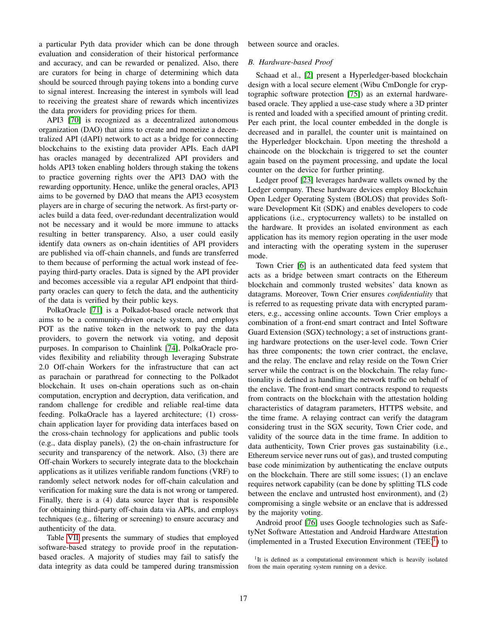a particular Pyth data provider which can be done through evaluation and consideration of their historical performance and accuracy, and can be rewarded or penalized. Also, there are curators for being in charge of determining which data should be sourced through paying tokens into a bonding curve to signal interest. Increasing the interest in symbols will lead to receiving the greatest share of rewards which incentivizes the data providers for providing prices for them.

API3 [\[70\]](#page-24-4) is recognized as a decentralized autonomous organization (DAO) that aims to create and monetize a decentralized API (dAPI) network to act as a bridge for connecting blockchains to the existing data provider APIs. Each dAPI has oracles managed by decentralized API providers and holds API3 token enabling holders through staking the tokens to practice governing rights over the API3 DAO with the rewarding opportunity. Hence, unlike the general oracles, API3 aims to be governed by DAO that means the API3 ecosystem players are in charge of securing the network. As first-party oracles build a data feed, over-redundant decentralization would not be necessary and it would be more immune to attacks resulting in better transparency. Also, a user could easily identify data owners as on-chain identities of API providers are published via off-chain channels, and funds are transferred to them because of performing the actual work instead of feepaying third-party oracles. Data is signed by the API provider and becomes accessible via a regular API endpoint that thirdparty oracles can query to fetch the data, and the authenticity of the data is verified by their public keys.

PolkaOracle [\[71\]](#page-24-5) is a Polkadot-based oracle network that aims to be a community-driven oracle system, and employs POT as the native token in the network to pay the data providers, to govern the network via voting, and deposit purposes. In comparison to Chainlink [\[74\]](#page-24-7), PolkaOracle provides flexibility and reliability through leveraging Substrate 2.0 Off-chain Workers for the infrastructure that can act as parachain or parathread for connecting to the Polkadot blockchain. It uses on-chain operations such as on-chain computation, encryption and decryption, data verification, and random challenge for credible and reliable real-time data feeding. PolkaOracle has a layered architecture; (1) crosschain application layer for providing data interfaces based on the cross-chain technology for applications and public tools (e.g., data display panels), (2) the on-chain infrastructure for security and transparency of the network. Also, (3) there are Off-chain Workers to securely integrate data to the blockchain applications as it utilizes verifiable random functions (VRF) to randomly select network nodes for off-chain calculation and verification for making sure the data is not wrong or tampered. Finally, there is a (4) data source layer that is responsible for obtaining third-party off-chain data via APIs, and employs techniques (e.g., filtering or screening) to ensure accuracy and authenticity of the data.

Table [VII](#page-15-0) presents the summary of studies that employed software-based strategy to provide proof in the reputationbased oracles. A majority of studies may fail to satisfy the data integrity as data could be tampered during transmission between source and oracles.

#### *B. Hardware-based Proof*

Schaad et al., [\[2\]](#page-22-1) present a Hyperledger-based blockchain design with a local secure element (Wibu CmDongle for cryptographic software protection [\[75\]](#page-24-8)) as an external hardwarebased oracle. They applied a use-case study where a 3D printer is rented and loaded with a specified amount of printing credit. Per each print, the local counter embedded in the dongle is decreased and in parallel, the counter unit is maintained on the Hyperledger blockchain. Upon meeting the threshold a chaincode on the blockchain is triggered to set the counter again based on the payment processing, and update the local counter on the device for further printing.

Ledger proof [\[23\]](#page-22-21) leverages hardware wallets owned by the Ledger company. These hardware devices employ Blockchain Open Ledger Operating System (BOLOS) that provides Software Development Kit (SDK) and enables developers to code applications (i.e., cryptocurrency wallets) to be installed on the hardware. It provides an isolated environment as each application has its memory region operating in the user mode and interacting with the operating system in the superuser mode.

Town Crier [\[6\]](#page-22-5) is an authenticated data feed system that acts as a bridge between smart contracts on the Ethereum blockchain and commonly trusted websites' data known as datagrams. Moreover, Town Crier ensures *confidentiality* that is referred to as requesting private data with encrypted parameters, e.g., accessing online accounts. Town Crier employs a combination of a front-end smart contract and Intel Software Guard Extension (SGX) technology; a set of instructions granting hardware protections on the user-level code. Town Crier has three components; the town crier contract, the enclave, and the relay. The enclave and relay reside on the Town Crier server while the contract is on the blockchain. The relay functionality is defined as handling the network traffic on behalf of the enclave. The front-end smart contracts respond to requests from contracts on the blockchain with the attestation holding characteristics of datagram parameters, HTTPS website, and the time frame. A relaying contract can verify the datagram considering trust in the SGX security, Town Crier code, and validity of the source data in the time frame. In addition to data authenticity, Town Crier proves gas sustainability (i.e., Ethereum service never runs out of gas), and trusted computing base code minimization by authenticating the enclave outputs on the blockchain. There are still some issues; (1) an enclave requires network capability (can be done by splitting TLS code between the enclave and untrusted host environment), and (2) compromising a single website or an enclave that is addressed by the majority voting.

Android proof [\[76\]](#page-24-9) uses Google technologies such as SafetyNet Software Attestation and Android Hardware Attestation (implemented in a Trusted Execution Environment  $(TEE)^1$  $(TEE)^1$ ) to

<span id="page-16-0"></span><sup>&</sup>lt;sup>1</sup>It is defined as a computational environment which is heavily isolated from the main operating system running on a device.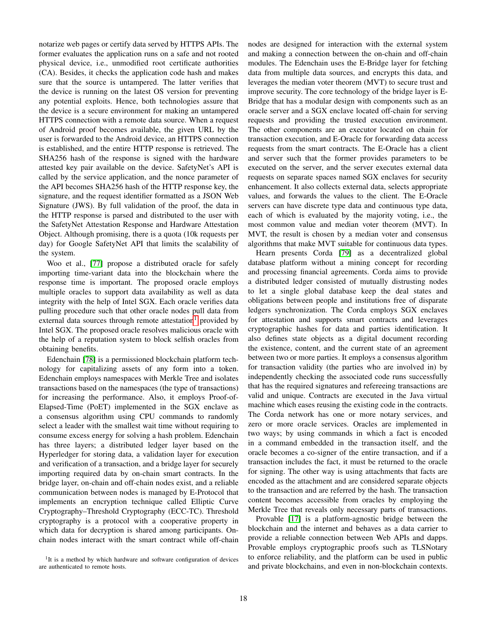notarize web pages or certify data served by HTTPS APIs. The former evaluates the application runs on a safe and not rooted physical device, i.e., unmodified root certificate authorities (CA). Besides, it checks the application code hash and makes sure that the source is untampered. The latter verifies that the device is running on the latest OS version for preventing any potential exploits. Hence, both technologies assure that the device is a secure environment for making an untampered HTTPS connection with a remote data source. When a request of Android proof becomes available, the given URL by the user is forwarded to the Android device, an HTTPS connection is established, and the entire HTTP response is retrieved. The SHA256 hash of the response is signed with the hardware attested key pair available on the device. SafetyNet's API is called by the service application, and the nonce parameter of the API becomes SHA256 hash of the HTTP response key, the signature, and the request identifier formatted as a JSON Web Signature (JWS). By full validation of the proof, the data in the HTTP response is parsed and distributed to the user with the SafetyNet Attestation Response and Hardware Attestation Object. Although promising, there is a quota (10k requests per day) for Google SafetyNet API that limits the scalability of the system.

Woo et al., [\[77\]](#page-24-10) propose a distributed oracle for safely importing time-variant data into the blockchain where the response time is important. The proposed oracle employs multiple oracles to support data availability as well as data integrity with the help of Intel SGX. Each oracle verifies data pulling procedure such that other oracle nodes pull data from external data sources through remote attestation<sup>[1](#page-17-0)</sup> provided by Intel SGX. The proposed oracle resolves malicious oracle with the help of a reputation system to block selfish oracles from obtaining benefits.

Edenchain [\[78\]](#page-24-11) is a permissioned blockchain platform technology for capitalizing assets of any form into a token. Edenchain employs namespaces with Merkle Tree and isolates transactions based on the namespaces (the type of transactions) for increasing the performance. Also, it employs Proof-of-Elapsed-Time (PoET) implemented in the SGX enclave as a consensus algorithm using CPU commands to randomly select a leader with the smallest wait time without requiring to consume excess energy for solving a hash problem. Edenchain has three layers; a distributed ledger layer based on the Hyperledger for storing data, a validation layer for execution and verification of a transaction, and a bridge layer for securely importing required data by on-chain smart contracts. In the bridge layer, on-chain and off-chain nodes exist, and a reliable communication between nodes is managed by E-Protocol that implements an encryption technique called Elliptic Curve Cryptography–Threshold Cryptography (ECC-TC). Threshold cryptography is a protocol with a cooperative property in which data for decryption is shared among participants. Onchain nodes interact with the smart contract while off-chain nodes are designed for interaction with the external system and making a connection between the on-chain and off-chain modules. The Edenchain uses the E-Bridge layer for fetching data from multiple data sources, and encrypts this data, and leverages the median voter theorem (MVT) to secure trust and improve security. The core technology of the bridge layer is E-Bridge that has a modular design with components such as an oracle server and a SGX enclave located off-chain for serving requests and providing the trusted execution environment. The other components are an executor located on chain for transaction execution, and E-Oracle for forwarding data access requests from the smart contracts. The E-Oracle has a client and server such that the former provides parameters to be executed on the server, and the server executes external data requests on separate spaces named SGX enclaves for security enhancement. It also collects external data, selects appropriate values, and forwards the values to the client. The E-Oracle servers can have discrete type data and continuous type data, each of which is evaluated by the majority voting, i.e., the most common value and median voter theorem (MVT). In MVT, the result is chosen by a median voter and consensus algorithms that make MVT suitable for continuous data types.

Hearn presents Corda [\[79\]](#page-24-12) as a decentralized global database platform without a mining concept for recording and processing financial agreements. Corda aims to provide a distributed ledger consisted of mutually distrusting nodes to let a single global database keep the deal states and obligations between people and institutions free of disparate ledgers synchronization. The Corda employs SGX enclaves for attestation and supports smart contracts and leverages cryptographic hashes for data and parties identification. It also defines state objects as a digital document recording the existence, content, and the current state of an agreement between two or more parties. It employs a consensus algorithm for transaction validity (the parties who are involved in) by independently checking the associated code runs successfully that has the required signatures and refereeing transactions are valid and unique. Contracts are executed in the Java virtual machine which eases reusing the existing code in the contracts. The Corda network has one or more notary services, and zero or more oracle services. Oracles are implemented in two ways; by using commands in which a fact is encoded in a command embedded in the transaction itself, and the oracle becomes a co-signer of the entire transaction, and if a transaction includes the fact, it must be returned to the oracle for signing. The other way is using attachments that facts are encoded as the attachment and are considered separate objects to the transaction and are referred by the hash. The transaction content becomes accessible from oracles by employing the Merkle Tree that reveals only necessary parts of transactions.

Provable [\[17\]](#page-22-15) is a platform-agnostic bridge between the blockchain and the internet and behaves as a data carrier to provide a reliable connection between Web APIs and dapps. Provable employs cryptographic proofs such as TLSNotary to enforce reliability, and the platform can be used in public and private blockchains, and even in non-blockchain contexts.

<span id="page-17-0"></span><sup>&</sup>lt;sup>1</sup>It is a method by which hardware and software configuration of devices are authenticated to remote hosts.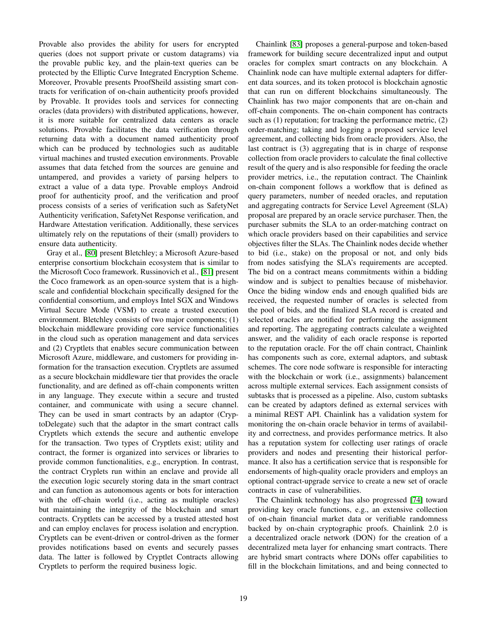Provable also provides the ability for users for encrypted queries (does not support private or custom datagrams) via the provable public key, and the plain-text queries can be protected by the Elliptic Curve Integrated Encryption Scheme. Moreover, Provable presents ProofSheild assisting smart contracts for verification of on-chain authenticity proofs provided by Provable. It provides tools and services for connecting oracles (data providers) with distributed applications, however, it is more suitable for centralized data centers as oracle solutions. Provable facilitates the data verification through returning data with a document named authenticity proof which can be produced by technologies such as auditable virtual machines and trusted execution environments. Provable assumes that data fetched from the sources are genuine and untampered, and provides a variety of parsing helpers to extract a value of a data type. Provable employs Android proof for authenticity proof, and the verification and proof process consists of a series of verification such as SafetyNet Authenticity verification, SafetyNet Response verification, and Hardware Attestation verification. Additionally, these services ultimately rely on the reputations of their (small) providers to ensure data authenticity.

Gray et al., [\[80\]](#page-24-13) present Bletchley; a Microsoft Azure-based enterprise consortium blockchain ecosystem that is similar to the Microsoft Coco framework. Russinovich et al., [\[81\]](#page-24-14) present the Coco framework as an open-source system that is a highscale and confidential blockchain specifically designed for the confidential consortium, and employs Intel SGX and Windows Virtual Secure Mode (VSM) to create a trusted execution environment. Bletchley consists of two major components; (1) blockchain middleware providing core service functionalities in the cloud such as operation management and data services and (2) Cryptlets that enables secure communication between Microsoft Azure, middleware, and customers for providing information for the transaction execution. Cryptlets are assumed as a secure blockchain middleware tier that provides the oracle functionality, and are defined as off-chain components written in any language. They execute within a secure and trusted container, and communicate with using a secure channel. They can be used in smart contracts by an adaptor (CryptoDelegate) such that the adaptor in the smart contract calls Cryptlets which extends the secure and authentic envelope for the transaction. Two types of Cryptlets exist; utility and contract, the former is organized into services or libraries to provide common functionalities, e.g., encryption. In contrast, the contract Cryplets run within an enclave and provide all the execution logic securely storing data in the smart contract and can function as autonomous agents or bots for interaction with the off-chain world (i.e., acting as multiple oracles) but maintaining the integrity of the blockchain and smart contracts. Cryptlets can be accessed by a trusted attested host and can employ enclaves for process isolation and encryption. Cryptlets can be event-driven or control-driven as the former provides notifications based on events and securely passes data. The latter is followed by Cryptlet Contracts allowing Cryptlets to perform the required business logic.

Chainlink [\[83\]](#page-24-15) proposes a general-purpose and token-based framework for building secure decentralized input and output oracles for complex smart contracts on any blockchain. A Chainlink node can have multiple external adapters for different data sources, and its token protocol is blockchain agnostic that can run on different blockchains simultaneously. The Chainlink has two major components that are on-chain and off-chain components. The on-chain component has contracts such as (1) reputation; for tracking the performance metric, (2) order-matching; taking and logging a proposed service level agreement, and collecting bids from oracle providers. Also, the last contract is (3) aggregating that is in charge of response collection from oracle providers to calculate the final collective result of the query and is also responsible for feeding the oracle provider metrics, i.e., the reputation contract. The Chainlink on-chain component follows a workflow that is defined as query parameters, number of needed oracles, and reputation and aggregating contracts for Service Level Agreement (SLA) proposal are prepared by an oracle service purchaser. Then, the purchaser submits the SLA to an order-matching contract on which oracle providers based on their capabilities and service objectives filter the SLAs. The Chainlink nodes decide whether to bid (i.e., stake) on the proposal or not, and only bids from nodes satisfying the SLA's requirements are accepted. The bid on a contract means commitments within a bidding window and is subject to penalties because of misbehavior. Once the biding window ends and enough qualified bids are received, the requested number of oracles is selected from the pool of bids, and the finalized SLA record is created and selected oracles are notified for performing the assignment and reporting. The aggregating contracts calculate a weighted answer, and the validity of each oracle response is reported to the reputation oracle. For the off chain contract, Chainlink has components such as core, external adaptors, and subtask schemes. The core node software is responsible for interacting with the blockchain or work (i.e., assignments) balancement across multiple external services. Each assignment consists of subtasks that is processed as a pipeline. Also, custom subtasks can be created by adaptors defined as external services with a minimal REST API. Chainlink has a validation system for monitoring the on-chain oracle behavior in terms of availability and correctness, and provides performance metrics. It also has a reputation system for collecting user ratings of oracle providers and nodes and presenting their historical performance. It also has a certification service that is responsible for endorsements of high-quality oracle providers and employs an optional contract-upgrade service to create a new set of oracle contracts in case of vulnerabilities.

The Chainlink technology has also progressed [\[74\]](#page-24-7) toward providing key oracle functions, e.g., an extensive collection of on-chain financial market data or verifiable randomness backed by on-chain cryptographic proofs. Chainlink 2.0 is a decentralized oracle network (DON) for the creation of a decentralized meta layer for enhancing smart contracts. There are hybrid smart contracts where DONs offer capabilities to fill in the blockchain limitations, and and being connected to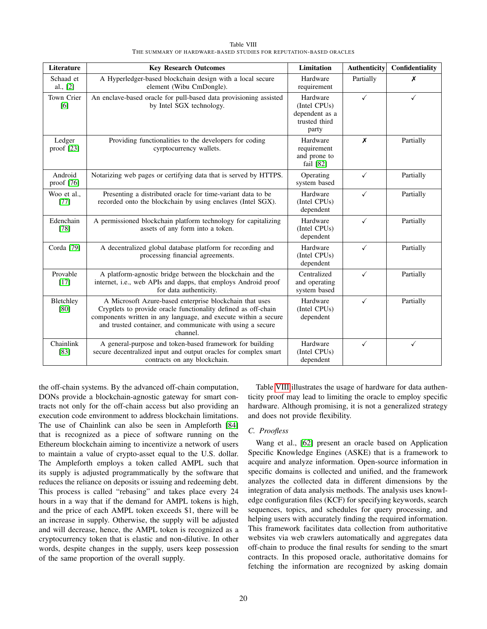<span id="page-19-0"></span>

| Literature             | <b>Key Research Outcomes</b>                                                                                                                                                                                                                                           | <b>Limitation</b>                                                    | Authenticity | Confidentiality |
|------------------------|------------------------------------------------------------------------------------------------------------------------------------------------------------------------------------------------------------------------------------------------------------------------|----------------------------------------------------------------------|--------------|-----------------|
| Schaad et<br>al., [2]  | A Hyperledger-based blockchain design with a local secure<br>element (Wibu CmDongle).                                                                                                                                                                                  | Hardware<br>requirement                                              | Partially    | Х               |
| Town Crier<br>[6]      | An enclave-based oracle for pull-based data provisioning assisted<br>by Intel SGX technology.                                                                                                                                                                          | Hardware<br>(Intel CPUs)<br>dependent as a<br>trusted third<br>party | $\checkmark$ | $\checkmark$    |
| Ledger<br>proof $[23]$ | Providing functionalities to the developers for coding<br>cyrptocurrency wallets.                                                                                                                                                                                      | Hardware<br>requirement<br>and prone to<br>fail $[82]$               | X            | Partially       |
| Android<br>proof [76]  | Notarizing web pages or certifying data that is served by HTTPS.                                                                                                                                                                                                       | Operating<br>system based                                            | $\checkmark$ | Partially       |
| Woo et al<br>$[77]$    | Presenting a distributed oracle for time-variant data to be<br>recorded onto the blockchain by using enclaves (Intel SGX).                                                                                                                                             | Hardware<br>(Intel CPUs)<br>dependent                                | ✓            | Partially       |
| Edenchain<br>$[78]$    | A permissioned blockchain platform technology for capitalizing<br>assets of any form into a token.                                                                                                                                                                     | Hardware<br>(Intel CPUs)<br>dependent                                | ✓            | Partially       |
| Corda <sup>[79]</sup>  | A decentralized global database platform for recording and<br>processing financial agreements.                                                                                                                                                                         | Hardware<br>(Intel CPUs)<br>dependent                                | $\checkmark$ | Partially       |
| Provable<br>$[17]$     | A platform-agnostic bridge between the blockchain and the<br>internet, i.e., web APIs and dapps, that employs Android proof<br>for data authenticity.                                                                                                                  | Centralized<br>and operating<br>system based                         | ✓            | Partially       |
| Bletchley<br>[80]      | A Microsoft Azure-based enterprise blockchain that uses<br>Cryptlets to provide oracle functionality defined as off-chain<br>components written in any language, and execute within a secure<br>and trusted container, and communicate with using a secure<br>channel. | Hardware<br>(Intel CPUs)<br>dependent                                | $\checkmark$ | Partially       |
| Chainlink<br>$[83]$    | A general-purpose and token-based framework for building<br>secure decentralized input and output oracles for complex smart<br>contracts on any blockchain.                                                                                                            | Hardware<br>(Intel CPUs)<br>dependent                                | $\checkmark$ | $\checkmark$    |

Table VIII THE SUMMARY OF HARDWARE-BASED STUDIES FOR REPUTATION-BASED ORACLES

the off-chain systems. By the advanced off-chain computation, DONs provide a blockchain-agnostic gateway for smart contracts not only for the off-chain access but also providing an execution code environment to address blockchain limitations. The use of Chainlink can also be seen in Ampleforth [\[84\]](#page-24-17) that is recognized as a piece of software running on the Ethereum blockchain aiming to incentivize a network of users to maintain a value of crypto-asset equal to the U.S. dollar. The Ampleforth employs a token called AMPL such that its supply is adjusted programmatically by the software that reduces the reliance on deposits or issuing and redeeming debt. This process is called "rebasing" and takes place every 24 hours in a way that if the demand for AMPL tokens is high, and the price of each AMPL token exceeds \$1, there will be an increase in supply. Otherwise, the supply will be adjusted and will decrease, hence, the AMPL token is recognized as a cryptocurrency token that is elastic and non-dilutive. In other words, despite changes in the supply, users keep possession of the same proportion of the overall supply.

Table [VIII](#page-19-0) illustrates the usage of hardware for data authenticity proof may lead to limiting the oracle to employ specific hardware. Although promising, it is not a generalized strategy and does not provide flexibility.

# *C. Proofless*

Wang et al., [\[62\]](#page-23-31) present an oracle based on Application Specific Knowledge Engines (ASKE) that is a framework to acquire and analyze information. Open-source information in specific domains is collected and unified, and the framework analyzes the collected data in different dimensions by the integration of data analysis methods. The analysis uses knowledge configuration files (KCF) for specifying keywords, search sequences, topics, and schedules for query processing, and helping users with accurately finding the required information. This framework facilitates data collection from authoritative websites via web crawlers automatically and aggregates data off-chain to produce the final results for sending to the smart contracts. In this proposed oracle, authoritative domains for fetching the information are recognized by asking domain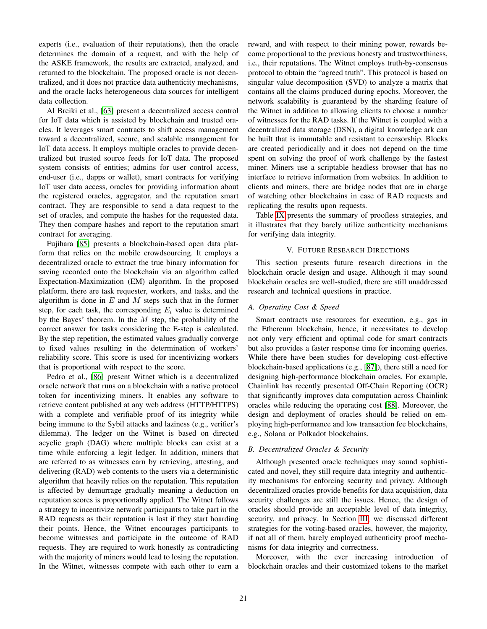experts (i.e., evaluation of their reputations), then the oracle determines the domain of a request, and with the help of the ASKE framework, the results are extracted, analyzed, and returned to the blockchain. The proposed oracle is not decentralized, and it does not practice data authenticity mechanisms, and the oracle lacks heterogeneous data sources for intelligent data collection.

Al Breiki et al., [\[63\]](#page-23-32) present a decentralized access control for IoT data which is assisted by blockchain and trusted oracles. It leverages smart contracts to shift access management toward a decentralized, secure, and scalable management for IoT data access. It employs multiple oracles to provide decentralized but trusted source feeds for IoT data. The proposed system consists of entities; admins for user control access, end-user (i.e., dapps or wallet), smart contracts for verifying IoT user data access, oracles for providing information about the registered oracles, aggregator, and the reputation smart contract. They are responsible to send a data request to the set of oracles, and compute the hashes for the requested data. They then compare hashes and report to the reputation smart contract for averaging.

Fujihara [\[85\]](#page-24-18) presents a blockchain-based open data platform that relies on the mobile crowdsourcing. It employs a decentralized oracle to extract the true binary information for saving recorded onto the blockchain via an algorithm called Expectation-Maximization (EM) algorithm. In the proposed platform, there are task requester, workers, and tasks, and the algorithm is done in  $E$  and  $M$  steps such that in the former step, for each task, the corresponding  $E_i$  value is determined by the Bayes' theorem. In the  $M$  step, the probability of the correct answer for tasks considering the E-step is calculated. By the step repetition, the estimated values gradually converge to fixed values resulting in the determination of workers' reliability score. This score is used for incentivizing workers that is proportional with respect to the score.

Pedro et al., [\[86\]](#page-24-19) present Witnet which is a decentralized oracle network that runs on a blockchain with a native protocol token for incentivizing miners. It enables any software to retrieve content published at any web address (HTTP/HTTPS) with a complete and verifiable proof of its integrity while being immune to the Sybil attacks and laziness (e.g., verifier's dilemma). The ledger on the Witnet is based on directed acyclic graph (DAG) where multiple blocks can exist at a time while enforcing a legit ledger. In addition, miners that are referred to as witnesses earn by retrieving, attesting, and delivering (RAD) web contents to the users via a deterministic algorithm that heavily relies on the reputation. This reputation is affected by demurrage gradually meaning a deduction on reputation scores is proportionally applied. The Witnet follows a strategy to incentivize network participants to take part in the RAD requests as their reputation is lost if they start hoarding their points. Hence, the Witnet encourages participants to become witnesses and participate in the outcome of RAD requests. They are required to work honestly as contradicting with the majority of miners would lead to losing the reputation. In the Witnet, witnesses compete with each other to earn a reward, and with respect to their mining power, rewards become proportional to the previous honesty and trustworthiness, i.e., their reputations. The Witnet employs truth-by-consensus protocol to obtain the "agreed truth". This protocol is based on singular value decomposition (SVD) to analyze a matrix that contains all the claims produced during epochs. Moreover, the network scalability is guaranteed by the sharding feature of the Witnet in addition to allowing clients to choose a number of witnesses for the RAD tasks. If the Witnet is coupled with a decentralized data storage (DSN), a digital knowledge ark can be built that is immutable and resistant to censorship. Blocks are created periodically and it does not depend on the time spent on solving the proof of work challenge by the fastest miner. Miners use a scriptable headless browser that has no interface to retrieve information from websites. In addition to clients and miners, there are bridge nodes that are in charge of watching other blockchains in case of RAD requests and replicating the results upon requests.

Table [IX](#page-21-1) presents the summary of proofless strategies, and it illustrates that they barely utilize authenticity mechanisms for verifying data integrity.

# V. FUTURE RESEARCH DIRECTIONS

<span id="page-20-0"></span>This section presents future research directions in the blockchain oracle design and usage. Although it may sound blockchain oracles are well-studied, there are still unaddressed research and technical questions in practice.

#### *A. Operating Cost & Speed*

Smart contracts use resources for execution, e.g., gas in the Ethereum blockchain, hence, it necessitates to develop not only very efficient and optimal code for smart contracts but also provides a faster response time for incoming queries. While there have been studies for developing cost-effective blockchain-based applications (e.g., [\[87\]](#page-24-20)), there still a need for designing high-performance blockchain oracles. For example, Chainlink has recently presented Off-Chain Reporting (OCR) that significantly improves data computation across Chainlink oracles while reducing the operating cost [\[88\]](#page-24-21). Moreover, the design and deployment of oracles should be relied on employing high-performance and low transaction fee blockchains, e.g., Solana or Polkadot blockchains.

#### *B. Decentralized Oracles & Security*

Although presented oracle techniques may sound sophisticated and novel, they still require data integrity and authenticity mechanisms for enforcing security and privacy. Although decentralized oracles provide benefits for data acquisition, data security challenges are still the issues. Hence, the design of oracles should provide an acceptable level of data integrity, security, and privacy. In Section [III,](#page-3-0) we discussed different strategies for the voting-based oracles, however, the majority, if not all of them, barely employed authenticity proof mechanisms for data integrity and correctness.

Moreover, with the ever increasing introduction of blockchain oracles and their customized tokens to the market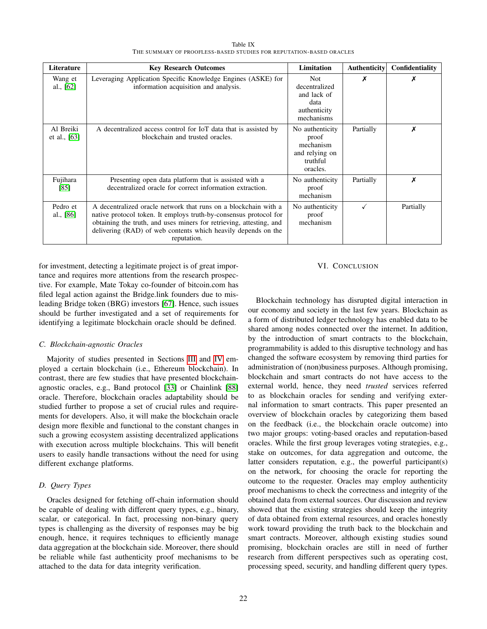Table IX THE SUMMARY OF PROOFLESS-BASED STUDIES FOR REPUTATION-BASED ORACLES

<span id="page-21-1"></span>

| Literature                  | <b>Key Research Outcomes</b>                                                                                                                                                                                                                                                                | <b>Limitation</b>                                                                | Authenticity | Confidentiality |
|-----------------------------|---------------------------------------------------------------------------------------------------------------------------------------------------------------------------------------------------------------------------------------------------------------------------------------------|----------------------------------------------------------------------------------|--------------|-----------------|
| Wang et<br>al., $[62]$      | Leveraging Application Specific Knowledge Engines (ASKE) for<br>information acquisition and analysis.                                                                                                                                                                                       | <b>Not</b><br>decentralized<br>and lack of<br>data<br>authenticity<br>mechanisms | X            | х               |
| Al Breiki<br>et al., $[63]$ | A decentralized access control for IoT data that is assisted by<br>blockchain and trusted oracles.                                                                                                                                                                                          | No authenticity<br>proof<br>mechanism<br>and relying on<br>truthful<br>oracles.  | Partially    | Х               |
| Fujihara<br>[85]            | Presenting open data platform that is assisted with a<br>decentralized oracle for correct information extraction.                                                                                                                                                                           | No authenticity<br>proof<br>mechanism                                            | Partially    | Х               |
| Pedro et<br>al., [86]       | A decentralized oracle network that runs on a blockchain with a<br>native protocol token. It employs truth-by-consensus protocol for<br>obtaining the truth, and uses miners for retrieving, attesting, and<br>delivering (RAD) of web contents which heavily depends on the<br>reputation. | No authenticity<br>proof<br>mechanism                                            | $\checkmark$ | Partially       |

for investment, detecting a legitimate project is of great importance and requires more attentions from the research prospective. For example, Mate Tokay co-founder of bitcoin.com has filed legal action against the Bridge.link founders due to misleading Bridge token (BRG) investors [\[67\]](#page-24-1). Hence, such issues should be further investigated and a set of requirements for identifying a legitimate blockchain oracle should be defined.

# *C. Blockchain-agnostic Oracles*

Majority of studies presented in Sections [III](#page-3-0) and [IV](#page-12-0) employed a certain blockchain (i.e., Ethereum blockchain). In contrast, there are few studies that have presented blockchainagnostic oracles, e.g., Band protocol [\[33\]](#page-23-2) or Chainlink [\[88\]](#page-24-21) oracle. Therefore, blockchain oracles adaptability should be studied further to propose a set of crucial rules and requirements for developers. Also, it will make the blockchain oracle design more flexible and functional to the constant changes in such a growing ecosystem assisting decentralized applications with execution across multiple blockchains. This will benefit users to easily handle transactions without the need for using different exchange platforms.

# *D. Query Types*

Oracles designed for fetching off-chain information should be capable of dealing with different query types, e.g., binary, scalar, or categorical. In fact, processing non-binary query types is challenging as the diversity of responses may be big enough, hence, it requires techniques to efficiently manage data aggregation at the blockchain side. Moreover, there should be reliable while fast authenticity proof mechanisms to be attached to the data for data integrity verification.

#### VI. CONCLUSION

<span id="page-21-0"></span>Blockchain technology has disrupted digital interaction in our economy and society in the last few years. Blockchain as a form of distributed ledger technology has enabled data to be shared among nodes connected over the internet. In addition, by the introduction of smart contracts to the blockchain, programmability is added to this disruptive technology and has changed the software ecosystem by removing third parties for administration of (non)business purposes. Although promising, blockchain and smart contracts do not have access to the external world, hence, they need *trusted* services referred to as blockchain oracles for sending and verifying external information to smart contracts. This paper presented an overview of blockchain oracles by categorizing them based on the feedback (i.e., the blockchain oracle outcome) into two major groups: voting-based oracles and reputation-based oracles. While the first group leverages voting strategies, e.g., stake on outcomes, for data aggregation and outcome, the latter considers reputation, e.g., the powerful participant(s) on the network, for choosing the oracle for reporting the outcome to the requester. Oracles may employ authenticity proof mechanisms to check the correctness and integrity of the obtained data from external sources. Our discussion and review showed that the existing strategies should keep the integrity of data obtained from external resources, and oracles honestly work toward providing the truth back to the blockchain and smart contracts. Moreover, although existing studies sound promising, blockchain oracles are still in need of further research from different perspectives such as operating cost, processing speed, security, and handling different query types.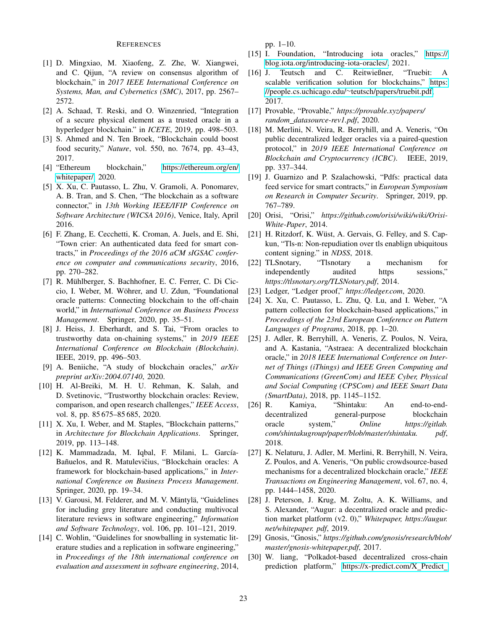## **REFERENCES**

- <span id="page-22-0"></span>[1] D. Mingxiao, M. Xiaofeng, Z. Zhe, W. Xiangwei, and C. Qijun, "A review on consensus algorithm of blockchain," in *2017 IEEE International Conference on Systems, Man, and Cybernetics (SMC)*, 2017, pp. 2567– 2572.
- <span id="page-22-1"></span>[2] A. Schaad, T. Reski, and O. Winzenried, "Integration of a secure physical element as a trusted oracle in a hyperledger blockchain." in *ICETE*, 2019, pp. 498–503.
- <span id="page-22-2"></span>[3] S. Ahmed and N. Ten Broek, "Blockchain could boost food security," *Nature*, vol. 550, no. 7674, pp. 43–43, 2017.
- <span id="page-22-3"></span>[4] "Ethereum blockchain," [https://ethereum](https://ethereum.org/en/whitepaper/).org/en/ [whitepaper/,](https://ethereum.org/en/whitepaper/) 2020.
- <span id="page-22-4"></span>[5] X. Xu, C. Pautasso, L. Zhu, V. Gramoli, A. Ponomarev, A. B. Tran, and S. Chen, "The blockchain as a software connector," in *13th Working IEEE/IFIP Conference on Software Architecture (WICSA 2016)*, Venice, Italy, April 2016.
- <span id="page-22-5"></span>[6] F. Zhang, E. Cecchetti, K. Croman, A. Juels, and E. Shi, "Town crier: An authenticated data feed for smart contracts," in *Proceedings of the 2016 aCM sIGSAC conference on computer and communications security*, 2016, pp. 270–282.
- <span id="page-22-6"></span>[7] R. Mühlberger, S. Bachhofner, E. C. Ferrer, C. Di Ciccio, I. Weber, M. Wöhrer, and U. Zdun, "Foundational oracle patterns: Connecting blockchain to the off-chain world," in *International Conference on Business Process Management*. Springer, 2020, pp. 35–51.
- <span id="page-22-23"></span>[8] J. Heiss, J. Eberhardt, and S. Tai, "From oracles to trustworthy data on-chaining systems," in *2019 IEEE International Conference on Blockchain (Blockchain)*. IEEE, 2019, pp. 496–503.
- <span id="page-22-8"></span>[9] A. Beniiche, "A study of blockchain oracles," *arXiv preprint arXiv:2004.07140*, 2020.
- <span id="page-22-9"></span>[10] H. Al-Breiki, M. H. U. Rehman, K. Salah, and D. Svetinovic, "Trustworthy blockchain oracles: Review, comparison, and open research challenges," *IEEE Access*, vol. 8, pp. 85 675–85 685, 2020.
- <span id="page-22-10"></span>[11] X. Xu, I. Weber, and M. Staples, "Blockchain patterns," in *Architecture for Blockchain Applications*. Springer, 2019, pp. 113–148.
- <span id="page-22-7"></span>[12] K. Mammadzada, M. Iqbal, F. Milani, L. García-Bañuelos, and R. Matulevičius, "Blockchain oracles: A framework for blockchain-based applications," in *International Conference on Business Process Management*. Springer, 2020, pp. 19–34.
- <span id="page-22-11"></span>[13] V. Garousi, M. Felderer, and M. V. Mäntylä, "Guidelines for including grey literature and conducting multivocal literature reviews in software engineering," *Information and Software Technology*, vol. 106, pp. 101–121, 2019.
- <span id="page-22-12"></span>[14] C. Wohlin, "Guidelines for snowballing in systematic literature studies and a replication in software engineering," in *Proceedings of the 18th international conference on evaluation and assessment in software engineering*, 2014,

pp. 1–10.

- <span id="page-22-13"></span>[15] I. Foundation, "Introducing iota oracles," [https://](https://blog.iota.org/introducing-iota-oracles/) blog.iota.[org/introducing-iota-oracles/,](https://blog.iota.org/introducing-iota-oracles/) 2021.
- <span id="page-22-14"></span>[16] J. Teutsch and C. Reitwießner, "Truebit: A scalable verification solution for blockchains," [https:](https://people.cs.uchicago.edu/~teutsch/papers/truebit.pdf) //people.cs.uchicago.edu/∼[teutsch/papers/truebit](https://people.cs.uchicago.edu/~teutsch/papers/truebit.pdf).pdf, 2017.
- <span id="page-22-15"></span>[17] Provable, "Provable," *https://provable.xyz/papers/ random datasource-rev1.pdf*, 2020.
- <span id="page-22-16"></span>[18] M. Merlini, N. Veira, R. Berryhill, and A. Veneris, "On public decentralized ledger oracles via a paired-question protocol," in *2019 IEEE International Conference on Blockchain and Cryptocurrency (ICBC)*. IEEE, 2019, pp. 337–344.
- <span id="page-22-17"></span>[19] J. Guarnizo and P. Szalachowski, "Pdfs: practical data feed service for smart contracts," in *European Symposium on Research in Computer Security*. Springer, 2019, pp. 767–789.
- <span id="page-22-18"></span>[20] Orisi, "Orisi," *https://github.com/orisi/wiki/wiki/Orisi-White-Paper*, 2014.
- <span id="page-22-19"></span>[21] H. Ritzdorf, K. Wüst, A. Gervais, G. Felley, and S. Capkun, "Tls-n: Non-repudiation over tls enablign ubiquitous content signing." in *NDSS*, 2018.
- <span id="page-22-20"></span>[22] TLSnotary, "Tlsnotary a mechanism for independently audited https sessions," *https://tlsnotary.org/TLSNotary.pdf*, 2014.
- <span id="page-22-21"></span>[23] Ledger, "Ledger proof," *https://ledger.com*, 2020.
- <span id="page-22-22"></span>[24] X. Xu, C. Pautasso, L. Zhu, Q. Lu, and I. Weber, "A pattern collection for blockchain-based applications," in *Proceedings of the 23rd European Conference on Pattern Languages of Programs*, 2018, pp. 1–20.
- <span id="page-22-24"></span>[25] J. Adler, R. Berryhill, A. Veneris, Z. Poulos, N. Veira, and A. Kastania, "Astraea: A decentralized blockchain oracle," in *2018 IEEE International Conference on Internet of Things (iThings) and IEEE Green Computing and Communications (GreenCom) and IEEE Cyber, Physical and Social Computing (CPSCom) and IEEE Smart Data (SmartData)*, 2018, pp. 1145–1152.
- <span id="page-22-28"></span>[26] R. Kamiya, "Shintaku: An end-to-enddecentralized general-purpose blockchain oracle system," *Online https://gitlab. com/shintakugroup/paper/blob/master/shintaku. pdf*, 2018.
- <span id="page-22-25"></span>[27] K. Nelaturu, J. Adler, M. Merlini, R. Berryhill, N. Veira, Z. Poulos, and A. Veneris, "On public crowdsource-based mechanisms for a decentralized blockchain oracle," *IEEE Transactions on Engineering Management*, vol. 67, no. 4, pp. 1444–1458, 2020.
- <span id="page-22-26"></span>[28] J. Peterson, J. Krug, M. Zoltu, A. K. Williams, and S. Alexander, "Augur: a decentralized oracle and prediction market platform (v2. 0)," *Whitepaper, https://augur. net/whitepaper. pdf*, 2019.
- <span id="page-22-29"></span>[29] Gnosis, "Gnosis," *https://github.com/gnosis/research/blob/ master/gnosis-whitepaper.pdf*, 2017.
- <span id="page-22-27"></span>[30] W. liang, "Polkadot-based decentralized cross-chain prediction platform," [https://x-predict](https://x-predict.com/X_Predict_market_Whitepaper_en.pdf?v=1.0).com/X\_Predict\_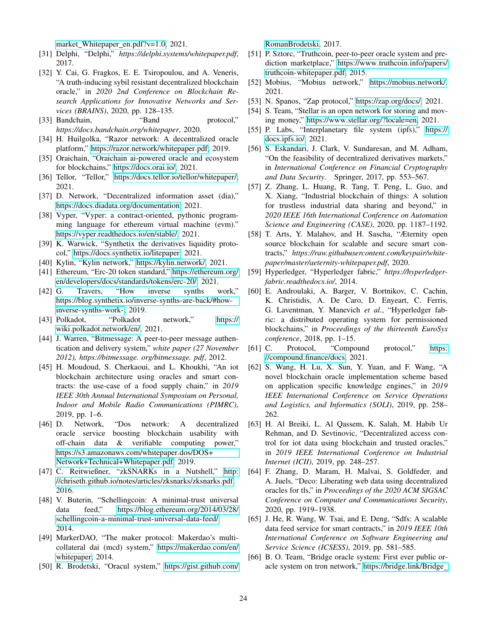market\_[Whitepaper](https://x-predict.com/X_Predict_market_Whitepaper_en.pdf?v=1.0)\_en.pdf?v=1.0, 2021.

- <span id="page-23-0"></span>[31] Delphi, "Delphi," *https://delphi.systems/whitepaper.pdf*, 2017.
- <span id="page-23-1"></span>[32] Y. Cai, G. Fragkos, E. E. Tsiropoulou, and A. Veneris, "A truth-inducing sybil resistant decentralized blockchain oracle," in *2020 2nd Conference on Blockchain Research Applications for Innovative Networks and Services (BRAINS)*, 2020, pp. 128–135.
- <span id="page-23-2"></span>[33] Bandchain, "Band protocol," *https://docs.bandchain.org/whitepaper*, 2020.
- <span id="page-23-3"></span>[34] H. Huilgolka, "Razor network: A decentralized oracle platform," https://razor.[network/whitepaper](https://razor.network/whitepaper.pdf).pdf, 2019.
- <span id="page-23-4"></span>[35] Oraichain, "Oraichain ai-powered oracle and ecosystem for blockchains," [https://docs](https://docs.orai.io/).orai.io/, 2021.
- <span id="page-23-5"></span>[36] Tellor, "Tellor," https://docs.tellor.[io/tellor/whitepaper/,](https://docs.tellor.io/tellor/whitepaper/) 2021.
- <span id="page-23-6"></span>[37] D. Network, "Decentralized information asset (dia)," https://docs.diadata.[org/documentation,](https://docs.diadata.org/documentation) 2021.
- <span id="page-23-7"></span>[38] Vyper, "Vyper: a contract-oriented, pythonic programming language for ethereum virtual machine (evm)." [https://vyper](https://vyper.readthedocs.io/en/stable/).readthedocs.io/en/stable/, 2021.
- <span id="page-23-8"></span>[39] K. Warwick, "Synthetix the derivatives liquidity protocol," [https://docs](https://docs.synthetix.io/litepaper).synthetix.io/litepaper, 2021.
- <span id="page-23-11"></span>[40] Kylin, "Kylin network," [https://kylin](https://kylin.network/).network/, 2021.
- <span id="page-23-9"></span>[41] Ethereum, "Erc-20 token standard," [https://ethereum](https://ethereum.org/en/developers/docs/standards/tokens/erc-20/).org/ [en/developers/docs/standards/tokens/erc-20/,](https://ethereum.org/en/developers/docs/standards/tokens/erc-20/) 2021.
- <span id="page-23-10"></span>[42] G. Travers, "How inverse synths work," https://blog.synthetix.[io/inverse-synths-are-back/#how](https://blog.synthetix.io/inverse-synths-are-back/#how-inverse-synths-work-)[inverse-synths-work-,](https://blog.synthetix.io/inverse-synths-are-back/#how-inverse-synths-work-) 2019.
- <span id="page-23-12"></span>[43] Polkadot, "Polkadot network," [https://](https://wiki.polkadot.network/en/) wiki.polkadot.[network/en/,](https://wiki.polkadot.network/en/) 2021.
- <span id="page-23-13"></span>[44] J. Warren, "Bitmessage: A peer-to-peer message authentication and delivery system," *white paper (27 November 2012), https://bitmessage. org/bitmessage. pdf*, 2012.
- <span id="page-23-14"></span>[45] H. Moudoud, S. Cherkaoui, and L. Khoukhi, "An iot blockchain architecture using oracles and smart contracts: the use-case of a food supply chain," in *2019 IEEE 30th Annual International Symposium on Personal, Indoor and Mobile Radio Communications (PIMRC)*, 2019, pp. 1–6.
- <span id="page-23-15"></span>[46] D. Network, "Dos network: A decentralized oracle service boosting blockchain usability with off-chain data & verifiable computing power," https://s3.amazonaws.[com/whitepaper](https://s3.amazonaws.com/whitepaper.dos/DOS+Network+Technical+Whitepaper.pdf).dos/DOS+ [Network+Technical+Whitepaper](https://s3.amazonaws.com/whitepaper.dos/DOS+Network+Technical+Whitepaper.pdf).pdf, 2019.
- <span id="page-23-16"></span>[47] C. Reitwießner, "zkSNARKs in a Nutshell," [http:](http://chriseth.github.io/notes/articles/zksnarks/zksnarks.pdf) //chriseth.github.[io/notes/articles/zksnarks/zksnarks](http://chriseth.github.io/notes/articles/zksnarks/zksnarks.pdf).pdf, 2016.
- <span id="page-23-17"></span>[48] V. Buterin, "Schellingcoin: A minimal-trust universal data feed," https://blog.ethereum.[org/2014/03/28/](https://blog.ethereum.org/2014/03/28/schellingcoin-a-minimal-trust-universal-data-feed/) [schellingcoin-a-minimal-trust-universal-data-feed/,](https://blog.ethereum.org/2014/03/28/schellingcoin-a-minimal-trust-universal-data-feed/) 2014.
- <span id="page-23-18"></span>[49] MarkerDAO, "The maker protocol: Makerdao's multicollateral dai (mcd) system," [https://makerdao](https://makerdao.com/en/whitepaper).com/en/ [whitepaper,](https://makerdao.com/en/whitepaper) 2014.
- <span id="page-23-19"></span>[50] R. Brodetski, "Oracul system," [https://gist](https://gist.github.com/RomanBrodetski).github.com/

[RomanBrodetski,](https://gist.github.com/RomanBrodetski) 2017.

- <span id="page-23-20"></span>[51] P. Sztorc, "Truthcoin, peer-to-peer oracle system and prediction marketplace," [https://www](https://www.truthcoin.info/papers/truthcoin-whitepaper.pdf).truthcoin.info/papers/ [truthcoin-whitepaper](https://www.truthcoin.info/papers/truthcoin-whitepaper.pdf).pdf, 2015.
- <span id="page-23-21"></span>[52] Mobius, "Mobius network," [https://mobius](https://mobius.network/).network/, 2021.
- <span id="page-23-23"></span>[53] N. Spanos, "Zap protocol," [https://zap](https://zap.org/docs/).org/docs/, 2021.
- <span id="page-23-22"></span>[54] S. Team, "Stellar is an open network for storing and moving money," https://www.stellar.[org/?locale=en,](https://www.stellar.org/?locale=en) 2021.
- <span id="page-23-24"></span>[55] P. Labs, "Interplanetary file system (ipfs)," [https://](https://docs.ipfs.io/) [docs](https://docs.ipfs.io/).ipfs.io/, 2021.
- <span id="page-23-25"></span>[56] S. Eskandari, J. Clark, V. Sundaresan, and M. Adham, "On the feasibility of decentralized derivatives markets," in *International Conference on Financial Cryptography and Data Security*. Springer, 2017, pp. 553–567.
- <span id="page-23-26"></span>[57] Z. Zhang, L. Huang, R. Tang, T. Peng, L. Guo, and X. Xiang, "Industrial blockchain of things: A solution for trustless industrial data sharing and beyond," in *2020 IEEE 16th International Conference on Automation Science and Engineering (CASE)*, 2020, pp. 1187–1192.
- <span id="page-23-27"></span>[58] T. Arts, Y. Malahov, and H. Sascha, "Æternity open source blockchain for scalable and secure smart contracts," *https://raw.githubusercontent.com/keypair/whitepaper/master/aeternity-whitepaper.pdf*, 2020.
- <span id="page-23-28"></span>[59] Hyperledger, "Hyperledger fabric," *https://hyperledgerfabric.readthedocs.io/*, 2014.
- <span id="page-23-29"></span>[60] E. Androulaki, A. Barger, V. Bortnikov, C. Cachin, K. Christidis, A. De Caro, D. Enyeart, C. Ferris, G. Laventman, Y. Manevich *et al.*, "Hyperledger fabric: a distributed operating system for permissioned blockchains," in *Proceedings of the thirteenth EuroSys conference*, 2018, pp. 1–15.
- <span id="page-23-30"></span>[61] C. Protocol, "Compound protocol," [https:](https://compound.finance/docs) //compound.[finance/docs,](https://compound.finance/docs) 2021.
- <span id="page-23-31"></span>[62] S. Wang, H. Lu, X. Sun, Y. Yuan, and F. Wang, "A novel blockchain oracle implementation scheme based on application specific knowledge engines," in *2019 IEEE International Conference on Service Operations and Logistics, and Informatics (SOLI)*, 2019, pp. 258– 262.
- <span id="page-23-32"></span>[63] H. Al Breiki, L. Al Qassem, K. Salah, M. Habib Ur Rehman, and D. Sevtinovic, "Decentralized access control for iot data using blockchain and trusted oracles," in *2019 IEEE International Conference on Industrial Internet (ICII)*, 2019, pp. 248–257.
- <span id="page-23-33"></span>[64] F. Zhang, D. Maram, H. Malvai, S. Goldfeder, and A. Juels, "Deco: Liberating web data using decentralized oracles for tls," in *Proceedings of the 2020 ACM SIGSAC Conference on Computer and Communications Security*, 2020, pp. 1919–1938.
- <span id="page-23-34"></span>[65] J. He, R. Wang, W. Tsai, and E. Deng, "Sdfs: A scalable data feed service for smart contracts," in *2019 IEEE 10th International Conference on Software Engineering and Service Science (ICSESS)*, 2019, pp. 581–585.
- <span id="page-23-35"></span>[66] B. O. Team, "Bridge oracle system: First ever public oracle system on tron network," [https://bridge](https://bridge.link/Bridge_White_Paper.pdf).link/Bridge